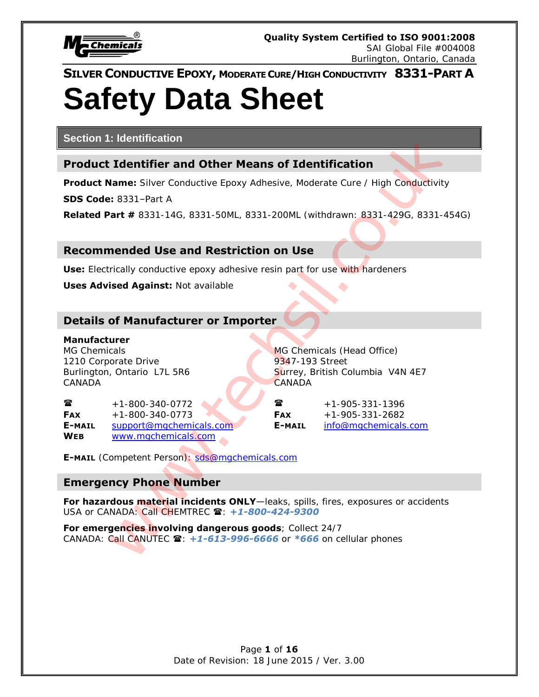

# **Safety Data Sheet**

**Section 1: Identification**

# **Product Identifier and Other Means of Identification**

**Product Name:** Silver Conductive Epoxy Adhesive, Moderate Cure / High Conductivity

**SDS Code:** 8331–Part A

**Related Part #** 8331-14G, 8331-50ML, 8331-200ML (withdrawn: 8331-429G, 8331-454G)

# **Recommended Use and Restriction on Use**

**Use:** Electrically conductive epoxy adhesive resin part for use with hardeners

**Uses Advised Against:** Not available

# **Details of Manufacturer or Importer**

#### **Manufacturer**

MG Chemicals MG Chemicals (Head Office) 1210 Corporate Drive 1210 Street CANADA CANADA

Burlington, Ontario L7L 5R6 Surrey, British Columbia V4N 4E7

 $\bullet$  +1-800-340-0772  $\bullet$   $\bullet$   $\bullet$   $\bullet$  +1-905-331-1396 **FAX** +1-800-340-0773 **FAX** +1-905-331-2682 **E-MAIL** support@mgchemicals.com **E-MAIL** info@mgchemicals.com **WEB** www.mgchemicals.com

**E-MAIL** (Competent Person): sds@mgchemicals.com

# **Emergency Phone Number**

**For hazardous material incidents ONLY**—leaks, spills, fires, exposures or accidents USA or CANADA: Call CHEMTREC  $\blacksquare$ : +1-800-424-9300 **Example 12**<br> **Example 2018**<br> **Example 2018**<br> **Example 2018**<br> **Example 2018**<br> **Example 2018**<br> **Example 2028**<br> **Example 2028**<br> **Example 2028**<br> **Example 2028**<br> **Example 2028**<br> **Example 2028**<br> **Example 2028**<br> **Example 2028**<br>

**For emergencies involving dangerous goods**; Collect 24/7 CANADA: Call CANUTEC **雪: +1-613-996-6666** or \*666 on cellular phones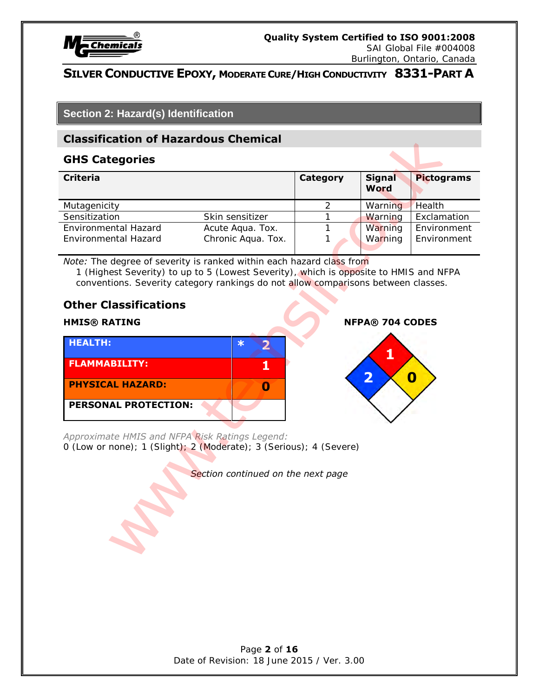

SAI Global File #004008 Burlington, Ontario, Canada

# **SILVER CONDUCTIVE EPOXY, MODERATE CURE/HIGH CONDUCTIVITY 8331-PART A**

# **Section 2: Hazard(s) Identification**

### **Classification of Hazardous Chemical**

#### **GHS Categories**

| <b>Classification of Hazardous Chemical</b>                                                                                                                                                                                                                                                                                                                                                                                                               |                 |                                                   |                   |
|-----------------------------------------------------------------------------------------------------------------------------------------------------------------------------------------------------------------------------------------------------------------------------------------------------------------------------------------------------------------------------------------------------------------------------------------------------------|-----------------|---------------------------------------------------|-------------------|
| <b>GHS Categories</b>                                                                                                                                                                                                                                                                                                                                                                                                                                     |                 |                                                   |                   |
| <b>Criteria</b>                                                                                                                                                                                                                                                                                                                                                                                                                                           | <b>Category</b> | <b>Signal</b><br>Word                             | <b>Pictograms</b> |
| Mutagenicity                                                                                                                                                                                                                                                                                                                                                                                                                                              | $\overline{2}$  | Warning                                           | Health            |
| Sensitization<br>Skin sensitizer                                                                                                                                                                                                                                                                                                                                                                                                                          | 1               | Warning                                           | Exclamation       |
| Environmental Hazard<br>Acute Aqua. Tox.                                                                                                                                                                                                                                                                                                                                                                                                                  | 1               | Warning                                           | Environment       |
| Environmental Hazard<br>Chronic Aqua. Tox.                                                                                                                                                                                                                                                                                                                                                                                                                | 1               | Warning                                           | Environment       |
| conventions. Severity category rankings do not allow comparisons between classes.<br><b>Other Classifications</b><br><b>HMIS® RATING</b><br><b>HEALTH:</b><br>$\ast$<br>$\overline{\mathbf{2}}$<br><b>FLAMMABILITY:</b><br>1<br><b>PHYSICAL HAZARD:</b><br>0<br><b>PERSONAL PROTECTION:</b><br>Approximate HMIS and NFPA Risk Ratings Legend:<br>0 (Low or none); 1 (Slight); 2 (Moderate); 3 (Serious); 4 (Severe)<br>Section continued on the next page |                 | <b>NFPA® 704 CODES</b><br>$\overline{\mathbf{2}}$ | $\boldsymbol{0}$  |
|                                                                                                                                                                                                                                                                                                                                                                                                                                                           |                 |                                                   |                   |

# **Other Classifications**

| <b>HEALTH:</b>              | Ж |  |
|-----------------------------|---|--|
| <b>FLAMMABILITY:</b>        |   |  |
| <b>PHYSICAL HAZARD:</b>     |   |  |
| <b>PERSONAL PROTECTION:</b> |   |  |

#### **HMIS® RATING NFPA® 704 CODES**

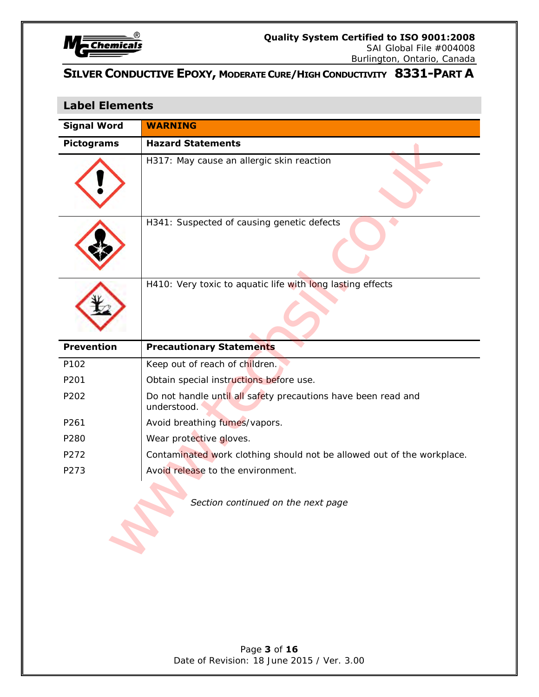

Burlington, Ontario, Canada

# **SILVER CONDUCTIVE EPOXY, MODERATE CURE/HIGH CONDUCTIVITY 8331-PART A**

# **Label Elements**

| <b>Signal Word</b> | <b>WARNING</b>                                                               |
|--------------------|------------------------------------------------------------------------------|
| <b>Pictograms</b>  | <b>Hazard Statements</b>                                                     |
|                    | H317: May cause an allergic skin reaction                                    |
|                    | H341: Suspected of causing genetic defects                                   |
|                    | H410: Very toxic to aquatic life with long lasting effects                   |
| <b>Prevention</b>  | <b>Precautionary Statements</b>                                              |
|                    |                                                                              |
| P102               | Keep out of reach of children.                                               |
| P201               | Obtain special instructions before use.                                      |
| P202               | Do not handle until all safety precautions have been read and<br>understood. |
| P261               | Avoid breathing fumes/vapors.                                                |
| P280               | Wear protective gloves.                                                      |
| P272               | Contaminated work clothing should not be allowed out of the workplace.       |
| P273               | Avoid release to the environment.<br>Section continued on the next page      |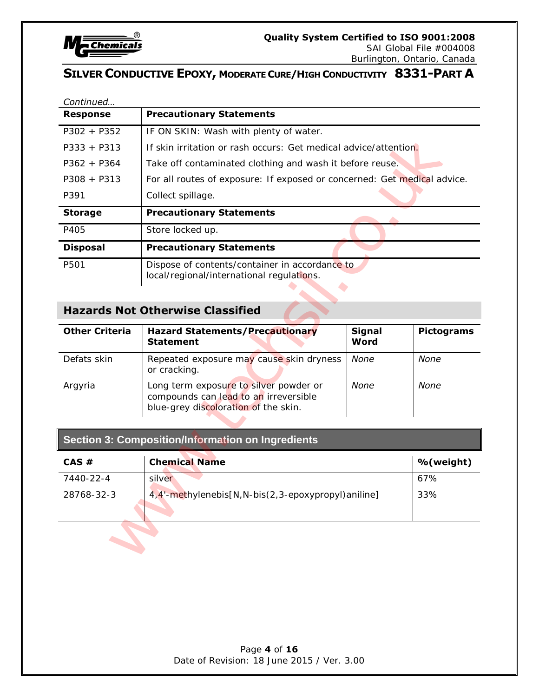

SAI Global File #004008

# Burlington, Ontario, Canada

# **SILVER CONDUCTIVE EPOXY, MODERATE CURE/HIGH CONDUCTIVITY 8331-PART A**

| Continued             |                                                                                                                         |                       |                   |
|-----------------------|-------------------------------------------------------------------------------------------------------------------------|-----------------------|-------------------|
| <b>Response</b>       | <b>Precautionary Statements</b>                                                                                         |                       |                   |
| $P302 + P352$         | IF ON SKIN: Wash with plenty of water.                                                                                  |                       |                   |
| $P333 + P313$         | If skin irritation or rash occurs: Get medical advice/attention.                                                        |                       |                   |
| $P362 + P364$         | Take off contaminated clothing and wash it before reuse.                                                                |                       |                   |
| $P308 + P313$         | For all routes of exposure: If exposed or concerned: Get medical advice.                                                |                       |                   |
| P391                  | Collect spillage.                                                                                                       |                       |                   |
| <b>Storage</b>        | <b>Precautionary Statements</b>                                                                                         |                       |                   |
| P405                  | Store locked up.                                                                                                        |                       |                   |
| <b>Disposal</b>       | <b>Precautionary Statements</b>                                                                                         |                       |                   |
| P501                  | Dispose of contents/container in accordance to<br>local/regional/international regulations.                             |                       |                   |
|                       | <b>Hazards Not Otherwise Classified</b>                                                                                 |                       |                   |
| <b>Other Criteria</b> | <b>Hazard Statements/Precautionary</b><br><b>Statement</b>                                                              | <b>Signal</b><br>Word | <b>Pictograms</b> |
| Defats skin           | Repeated exposure may cause skin dryness<br>or cracking.                                                                | None                  | None              |
| Argyria               | Long term exposure to silver powder or<br>compounds can lead to an irreversible<br>blue-grey discoloration of the skin. | None                  | None              |
|                       | <b>Section 3: Composition/Information on Ingredients</b>                                                                |                       |                   |
| CAS#                  | <b>Chemical Name</b>                                                                                                    |                       | %(weight)         |
| 7440-22-4             | silver                                                                                                                  |                       | 67%               |
| 28768-32-3            | 4,4'-methylenebis[N, N-bis(2, 3-epoxypropyl)aniline]<br>33%                                                             |                       |                   |
|                       |                                                                                                                         |                       |                   |

# **Hazards Not Otherwise Classified**

| <b>Other Criteria</b> | <b>Hazard Statements/Precautionary</b><br><b>Statement</b>                                                              | <b>Signal</b><br>Word | <b>Pictograms</b> |
|-----------------------|-------------------------------------------------------------------------------------------------------------------------|-----------------------|-------------------|
| Defats skin           | Repeated exposure may cause skin dryness<br>or cracking.                                                                | None                  | None              |
| Argyria               | Long term exposure to silver powder or<br>compounds can lead to an irreversible<br>blue-grey discoloration of the skin. | None                  | None              |

| $CAS \#$   | <b>Chemical Name</b>                               | %(weight) |
|------------|----------------------------------------------------|-----------|
| 7440-22-4  | silver                                             | 67%       |
| 28768-32-3 | 4,4'-methylenebis[N,N-bis(2,3-epoxypropyl)aniline] | 33%       |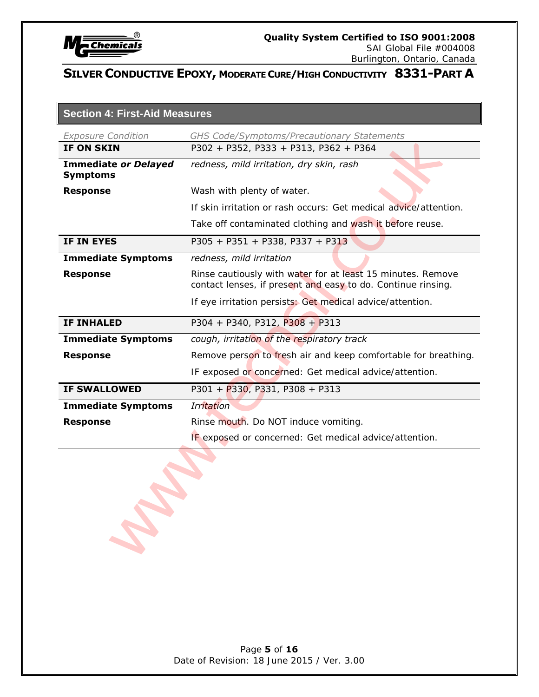

Burlington, Ontario, Canada

# **SILVER CONDUCTIVE EPOXY, MODERATE CURE/HIGH CONDUCTIVITY 8331-PART A**

| <b>Section 4: First-Aid Measures</b> |
|--------------------------------------|
|                                      |

| <b>Exposure Condition</b>                      | GHS Code/Symptoms/Precautionary Statements                                                                                  |
|------------------------------------------------|-----------------------------------------------------------------------------------------------------------------------------|
| IF ON SKIN                                     | P302 + P352, P333 + P313, P362 + P364                                                                                       |
| <b>Immediate or Delayed</b><br><b>Symptoms</b> | redness, mild irritation, dry skin, rash                                                                                    |
| <b>Response</b>                                | Wash with plenty of water.                                                                                                  |
|                                                | If skin irritation or rash occurs: Get medical advice/attention.                                                            |
|                                                | Take off contaminated clothing and wash it before reuse.                                                                    |
| IF IN EYES                                     | P305 + P351 + P338, P337 + P313                                                                                             |
| <b>Immediate Symptoms</b>                      | redness, mild irritation                                                                                                    |
| <b>Response</b>                                | Rinse cautiously with water for at least 15 minutes. Remove<br>contact lenses, if present and easy to do. Continue rinsing. |
|                                                | If eye irritation persists: Get medical advice/attention.                                                                   |
| <b>IF INHALED</b>                              | $P304 + P340, P312, P308 + P313$                                                                                            |
| <b>Immediate Symptoms</b>                      | cough, irritation of the respiratory track                                                                                  |
| <b>Response</b>                                | Remove person to fresh air and keep comfortable for breathing.                                                              |
|                                                | IF exposed or concerned: Get medical advice/attention.                                                                      |
| <b>IF SWALLOWED</b>                            | P301 + P330, P331, P308 + P313                                                                                              |
| <b>Immediate Symptoms</b>                      | <b>Irritation</b>                                                                                                           |
| <b>Response</b>                                | Rinse mouth. Do NOT induce vomiting.                                                                                        |
|                                                | IF exposed or concerned: Get medical advice/attention.                                                                      |
|                                                |                                                                                                                             |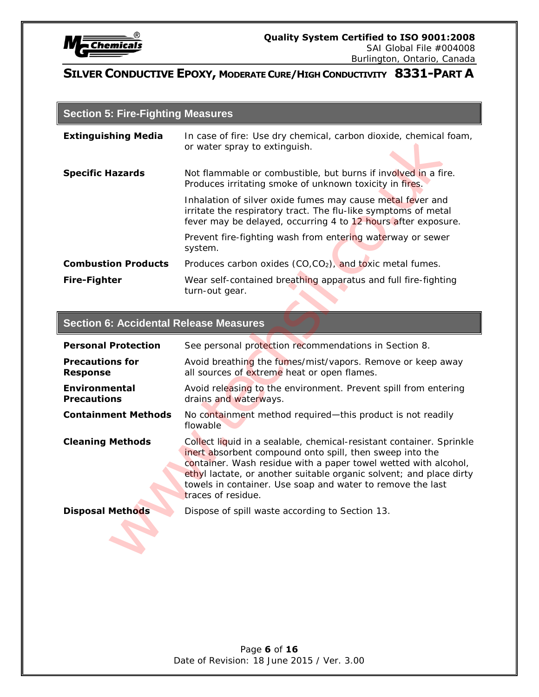

# **Section 5: Fire-Fighting Measures**

| <b>Extinguishing Media</b> | In case of fire: Use dry chemical, carbon dioxide, chemical foam,<br>or water spray to extinguish.                                                                                            |
|----------------------------|-----------------------------------------------------------------------------------------------------------------------------------------------------------------------------------------------|
| <b>Specific Hazards</b>    | Not flammable or combustible, but burns if involved in a fire.<br>Produces irritating smoke of unknown toxicity in fires.                                                                     |
|                            | Inhalation of silver oxide fumes may cause metal fever and<br>irritate the respiratory tract. The flu-like symptoms of metal<br>fever may be delayed, occurring 4 to 12 hours after exposure. |
|                            | Prevent fire-fighting wash from entering waterway or sewer<br>system.                                                                                                                         |
| <b>Combustion Products</b> | Produces carbon oxides $(CO, CO2)$ , and toxic metal fumes.                                                                                                                                   |
| <b>Fire-Fighter</b>        | Wear self-contained breathing apparatus and full fire-fighting<br>turn-out gear.                                                                                                              |

# **Section 6: Accidental Release Measures**

| <b>Extinguishing Media</b>                    | In case of fire: Use dry chemical, carbon dioxide, chemical foam,<br>or water spray to extinguish.                                                                                                                                                                                                                                                             |
|-----------------------------------------------|----------------------------------------------------------------------------------------------------------------------------------------------------------------------------------------------------------------------------------------------------------------------------------------------------------------------------------------------------------------|
| <b>Specific Hazards</b>                       | Not flammable or combustible, but burns if involved in a fire.<br>Produces irritating smoke of unknown toxicity in fires.                                                                                                                                                                                                                                      |
|                                               | Inhalation of silver oxide fumes may cause metal fever and<br>irritate the respiratory tract. The flu-like symptoms of metal<br>fever may be delayed, occurring 4 to 12 hours after exposure.                                                                                                                                                                  |
|                                               | Prevent fire-fighting wash from entering waterway or sewer<br>system.                                                                                                                                                                                                                                                                                          |
| <b>Combustion Products</b>                    | Produces carbon oxides (CO,CO <sub>2</sub> ), and toxic metal fumes.                                                                                                                                                                                                                                                                                           |
| <b>Fire-Fighter</b>                           | Wear self-contained breathing apparatus and full fire-fighting<br>turn-out gear.                                                                                                                                                                                                                                                                               |
|                                               |                                                                                                                                                                                                                                                                                                                                                                |
| <b>Section 6: Accidental Release Measures</b> |                                                                                                                                                                                                                                                                                                                                                                |
| <b>Personal Protection</b>                    | See personal protection recommendations in Section 8.                                                                                                                                                                                                                                                                                                          |
| <b>Precautions for</b><br><b>Response</b>     | Avoid breathing the fumes/mist/vapors. Remove or keep away<br>all sources of extreme heat or open flames.                                                                                                                                                                                                                                                      |
| <b>Environmental</b><br><b>Precautions</b>    | Avoid releasing to the environment. Prevent spill from entering<br>drains and waterways.                                                                                                                                                                                                                                                                       |
| <b>Containment Methods</b>                    | No containment method required-this product is not readily<br>flowable                                                                                                                                                                                                                                                                                         |
| <b>Cleaning Methods</b>                       | Collect liquid in a sealable, chemical-resistant container. Sprinkle<br>inert absorbent compound onto spill, then sweep into the<br>container. Wash residue with a paper towel wetted with alcohol,<br>ethyl lactate, or another suitable organic solvent; and place dirty<br>towels in container. Use soap and water to remove the last<br>traces of residue. |
| <b>Disposal Methods</b>                       | Dispose of spill waste according to Section 13.                                                                                                                                                                                                                                                                                                                |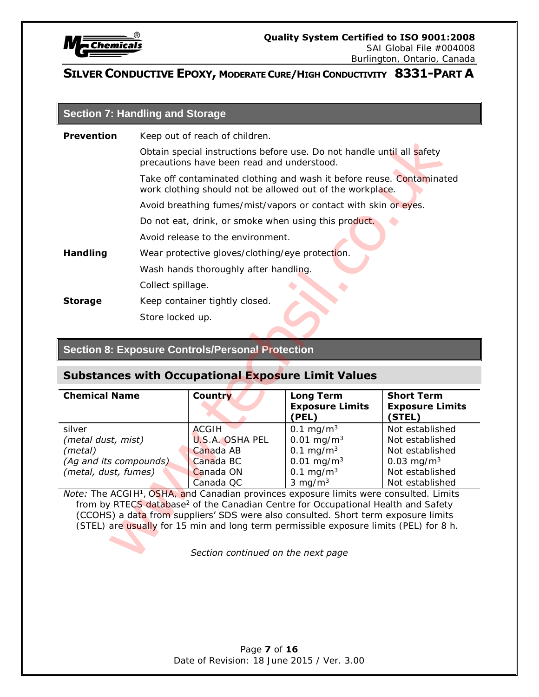

# **Section 7: Handling and Storage**

| <b>Prevention</b>      | Keep out of reach of children.                                                                                       |                                                                                                                                    |                                                                                                                                                                                                                                                                                                                                                                                     |                                                       |  |  |  |
|------------------------|----------------------------------------------------------------------------------------------------------------------|------------------------------------------------------------------------------------------------------------------------------------|-------------------------------------------------------------------------------------------------------------------------------------------------------------------------------------------------------------------------------------------------------------------------------------------------------------------------------------------------------------------------------------|-------------------------------------------------------|--|--|--|
|                        | Obtain special instructions before use. Do not handle until all safety<br>precautions have been read and understood. |                                                                                                                                    |                                                                                                                                                                                                                                                                                                                                                                                     |                                                       |  |  |  |
|                        |                                                                                                                      | Take off contaminated clothing and wash it before reuse. Contaminated<br>work clothing should not be allowed out of the workplace. |                                                                                                                                                                                                                                                                                                                                                                                     |                                                       |  |  |  |
|                        |                                                                                                                      |                                                                                                                                    | Avoid breathing fumes/mist/vapors or contact with skin or eyes.                                                                                                                                                                                                                                                                                                                     |                                                       |  |  |  |
|                        |                                                                                                                      | Do not eat, drink, or smoke when using this product.                                                                               |                                                                                                                                                                                                                                                                                                                                                                                     |                                                       |  |  |  |
|                        |                                                                                                                      | Avoid release to the environment.                                                                                                  |                                                                                                                                                                                                                                                                                                                                                                                     |                                                       |  |  |  |
| <b>Handling</b>        |                                                                                                                      | Wear protective gloves/clothing/eye protection.                                                                                    |                                                                                                                                                                                                                                                                                                                                                                                     |                                                       |  |  |  |
|                        |                                                                                                                      | Wash hands thoroughly after handling.                                                                                              |                                                                                                                                                                                                                                                                                                                                                                                     |                                                       |  |  |  |
|                        | Collect spillage.                                                                                                    |                                                                                                                                    |                                                                                                                                                                                                                                                                                                                                                                                     |                                                       |  |  |  |
| <b>Storage</b>         |                                                                                                                      | Keep container tightly closed.                                                                                                     |                                                                                                                                                                                                                                                                                                                                                                                     |                                                       |  |  |  |
|                        | Store locked up.                                                                                                     |                                                                                                                                    |                                                                                                                                                                                                                                                                                                                                                                                     |                                                       |  |  |  |
|                        |                                                                                                                      |                                                                                                                                    |                                                                                                                                                                                                                                                                                                                                                                                     |                                                       |  |  |  |
|                        |                                                                                                                      |                                                                                                                                    |                                                                                                                                                                                                                                                                                                                                                                                     |                                                       |  |  |  |
|                        |                                                                                                                      |                                                                                                                                    |                                                                                                                                                                                                                                                                                                                                                                                     |                                                       |  |  |  |
|                        |                                                                                                                      | <b>Section 8: Exposure Controls/Personal Protection</b>                                                                            |                                                                                                                                                                                                                                                                                                                                                                                     |                                                       |  |  |  |
|                        |                                                                                                                      | <b>Substances with Occupational Exposure Limit Values</b>                                                                          |                                                                                                                                                                                                                                                                                                                                                                                     |                                                       |  |  |  |
| <b>Chemical Name</b>   |                                                                                                                      | Country                                                                                                                            | <b>Long Term</b><br><b>Exposure Limits</b><br>(PEL)                                                                                                                                                                                                                                                                                                                                 | <b>Short Term</b><br><b>Exposure Limits</b><br>(STEL) |  |  |  |
| silver                 |                                                                                                                      | <b>ACGIH</b>                                                                                                                       | $0.1 \text{ mg/m}^3$                                                                                                                                                                                                                                                                                                                                                                | Not established                                       |  |  |  |
| (metal dust, mist)     |                                                                                                                      | <b>U.S.A. OSHA PEL</b>                                                                                                             | $0.01$ mg/m <sup>3</sup>                                                                                                                                                                                                                                                                                                                                                            | Not established                                       |  |  |  |
| (metal)                |                                                                                                                      | Canada AB                                                                                                                          | 0.1 mg/ $m^3$                                                                                                                                                                                                                                                                                                                                                                       | Not established                                       |  |  |  |
| (Ag and its compounds) |                                                                                                                      | Canada BC<br>Canada ON                                                                                                             | $0.01$ mg/m <sup>3</sup><br>0.1 mg/ $m3$                                                                                                                                                                                                                                                                                                                                            | 0.03 mg/m <sup>3</sup><br>Not established             |  |  |  |
| (metal, dust, fumes)   |                                                                                                                      | Canada QC                                                                                                                          | $3 \text{ mg/m}^3$                                                                                                                                                                                                                                                                                                                                                                  | Not established                                       |  |  |  |
|                        |                                                                                                                      |                                                                                                                                    | Note: The ACGIH <sup>1</sup> , OSHA, and Canadian provinces exposure limits were consulted. Limits<br>from by RTECS database <sup>2</sup> of the Canadian Centre for Occupational Health and Safety<br>(CCOHS) a data from suppliers' SDS were also consulted. Short term exposure limits<br>(STEL) are usually for 15 min and long term permissible exposure limits (PEL) for 8 h. |                                                       |  |  |  |

# **Section 8: Exposure Controls/Personal Protection**

# **Substances with Occupational Exposure Limit Values**

| <b>Chemical Name</b>   | Country                | <b>Long Term</b><br><b>Exposure Limits</b><br>(PEL) | <b>Short Term</b><br><b>Exposure Limits</b><br>(STEL) |
|------------------------|------------------------|-----------------------------------------------------|-------------------------------------------------------|
| silver                 | ACGIH                  | 0.1 mg/m <sup>3</sup>                               | Not established                                       |
| (metal dust, mist)     | <b>U.S.A. OSHA PEL</b> | $0.01 \text{ mg/m}^3$                               | Not established                                       |
| (metal)                | Canada AB              | 0.1 mg/ $m^3$                                       | Not established                                       |
| (Ag and its compounds) | Canada BC              | $0.01 \text{ mg/m}^3$                               | 0.03 mg/m <sup>3</sup>                                |
| (metal, dust, fumes)   | Canada ON              | 0.1 mg/m <sup>3</sup>                               | Not established                                       |
|                        | Canada QC              | $3 \text{ mg/m}^3$                                  | Not established                                       |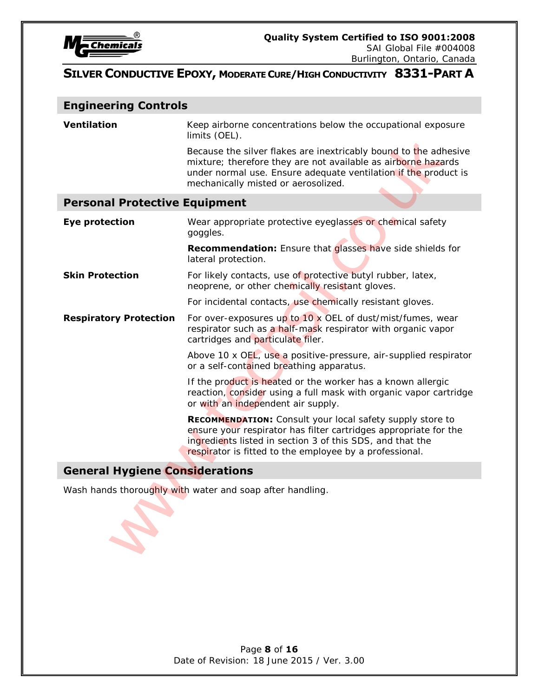

Burlington, Ontario, Canada

# **SILVER CONDUCTIVE EPOXY, MODERATE CURE/HIGH CONDUCTIVITY 8331-PART A**

#### **Engineering Controls**

**Ventilation** Keep airborne concentrations below the occupational exposure limits (OEL).

#### **Personal Protective Equipment**

|                                       | limits (OEL).                                                                                                                                                                                                                                                |
|---------------------------------------|--------------------------------------------------------------------------------------------------------------------------------------------------------------------------------------------------------------------------------------------------------------|
|                                       | Because the silver flakes are inextricably bound to the adhesive<br>mixture; therefore they are not available as airborne hazards<br>under normal use. Ensure adequate ventilation if the product is<br>mechanically misted or aerosolized.                  |
| <b>Personal Protective Equipment</b>  |                                                                                                                                                                                                                                                              |
| <b>Eye protection</b>                 | Wear appropriate protective eyeglasses or chemical safety<br>goggles.                                                                                                                                                                                        |
|                                       | Recommendation: Ensure that glasses have side shields for<br>lateral protection.                                                                                                                                                                             |
| <b>Skin Protection</b>                | For likely contacts, use of protective butyl rubber, latex,<br>neoprene, or other chemically resistant gloves.                                                                                                                                               |
|                                       | For incidental contacts, use chemically resistant gloves.                                                                                                                                                                                                    |
| <b>Respiratory Protection</b>         | For over-exposures up to 10 x OEL of dust/mist/fumes, wear<br>respirator such as a half-mask respirator with organic vapor<br>cartridges and particulate filer.                                                                                              |
|                                       | Above 10 x OEL, use a positive-pressure, air-supplied respirator<br>or a self-contained breathing apparatus.                                                                                                                                                 |
|                                       | If the product is heated or the worker has a known allergic<br>reaction, consider using a full mask with organic vapor cartridge<br>or with an independent air supply.                                                                                       |
|                                       | <b>RECOMMENDATION:</b> Consult your local safety supply store to<br>ensure your respirator has filter cartridges appropriate for the<br>ingredients listed in section 3 of this SDS, and that the<br>respirator is fitted to the employee by a professional. |
| <b>General Hygiene Considerations</b> |                                                                                                                                                                                                                                                              |
|                                       | Wash hands thoroughly with water and soap after handling.                                                                                                                                                                                                    |
|                                       |                                                                                                                                                                                                                                                              |

# **General Hygiene Considerations**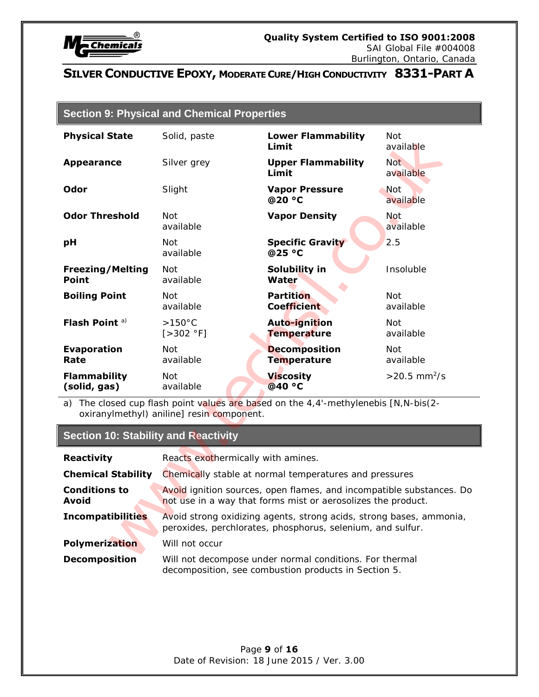

|  |  | <b>Section 9: Physical and Chemical Properties</b> |  |
|--|--|----------------------------------------------------|--|
|--|--|----------------------------------------------------|--|

| <b>Physical State</b>                       | Solid, paste                                                                                                                         | <b>Lower Flammability</b><br>Limit                                               | <b>Not</b><br>available    |  |  |
|---------------------------------------------|--------------------------------------------------------------------------------------------------------------------------------------|----------------------------------------------------------------------------------|----------------------------|--|--|
| <b>Appearance</b>                           | Silver grey                                                                                                                          | <b>Upper Flammability</b><br>Limit                                               | <b>Not</b><br>available    |  |  |
| <b>Odor</b>                                 | Slight                                                                                                                               | <b>Vapor Pressure</b><br>@20 °C                                                  | <b>Not</b><br>available    |  |  |
| <b>Odor Threshold</b>                       | <b>Not</b><br>available                                                                                                              | <b>Vapor Density</b>                                                             | <b>Not</b><br>available    |  |  |
| рH                                          | Not<br>available                                                                                                                     | <b>Specific Gravity</b><br>@25 °C                                                | 2.5                        |  |  |
| <b>Freezing/Melting</b><br><b>Point</b>     | Not.<br>available                                                                                                                    | Solubility in<br>Water                                                           | Insoluble                  |  |  |
| <b>Boiling Point</b>                        | Not<br>available                                                                                                                     | <b>Partition</b><br><b>Coefficient</b>                                           | Not<br>available           |  |  |
| Flash Point <sup>a)</sup>                   | $>150^{\circ}$ C<br>[>302 °F]                                                                                                        | Auto-ignition<br><b>Temperature</b>                                              | Not.<br>available          |  |  |
| <b>Evaporation</b><br>Rate                  | Not<br>available                                                                                                                     | <b>Decomposition</b><br><b>Temperature</b>                                       | Not<br>available           |  |  |
| <b>Flammability</b><br>(solid, gas)         | <b>Not</b><br>available                                                                                                              | <b>Viscosity</b><br>@40 °C                                                       | $>20.5$ mm <sup>2</sup> /s |  |  |
| a)                                          | oxiranylmethyl) aniline] resin component.                                                                                            | The closed cup flash point values are based on the 4,4'-methylenebis [N,N-bis(2- |                            |  |  |
| <b>Section 10: Stability and Reactivity</b> |                                                                                                                                      |                                                                                  |                            |  |  |
| <b>Reactivity</b>                           | Reacts exothermically with amines.                                                                                                   |                                                                                  |                            |  |  |
| <b>Chemical Stability</b>                   | Chemically stable at normal temperatures and pressures                                                                               |                                                                                  |                            |  |  |
| <b>Conditions to</b><br><b>Avoid</b>        | Avoid ignition sources, open flames, and incompatible substances. Do<br>not use in a way that forms mist or aerosolizes the product. |                                                                                  |                            |  |  |
| <b>Incompatibilities</b>                    | Avoid strong oxidizing agents, strong acids, strong bases, ammonia,<br>peroxides, perchlorates, phosphorus, selenium, and sulfur.    |                                                                                  |                            |  |  |
| <b>Polymerization</b>                       | Will not occur                                                                                                                       |                                                                                  |                            |  |  |
| <b>Decomposition</b>                        | Will not decompose under normal conditions. For thermal                                                                              |                                                                                  |                            |  |  |

# **Section 10: Stability and Reactivity**

| <b>Reactivity</b>                    | Reacts exothermically with amines.                                                                                                   |
|--------------------------------------|--------------------------------------------------------------------------------------------------------------------------------------|
| <b>Chemical Stability</b>            | Chemically stable at normal temperatures and pressures                                                                               |
| <b>Conditions to</b><br><b>Avoid</b> | Avoid ignition sources, open flames, and incompatible substances. Do<br>not use in a way that forms mist or aerosolizes the product. |
| <b>Incompatibilities</b>             | Avoid strong oxidizing agents, strong acids, strong bases, ammonia,<br>peroxides, perchlorates, phosphorus, selenium, and sulfur.    |
| <b>Polymerization</b>                | Will not occur                                                                                                                       |
| <b>Decomposition</b>                 | Will not decompose under normal conditions. For thermal<br>decomposition, see combustion products in Section 5.                      |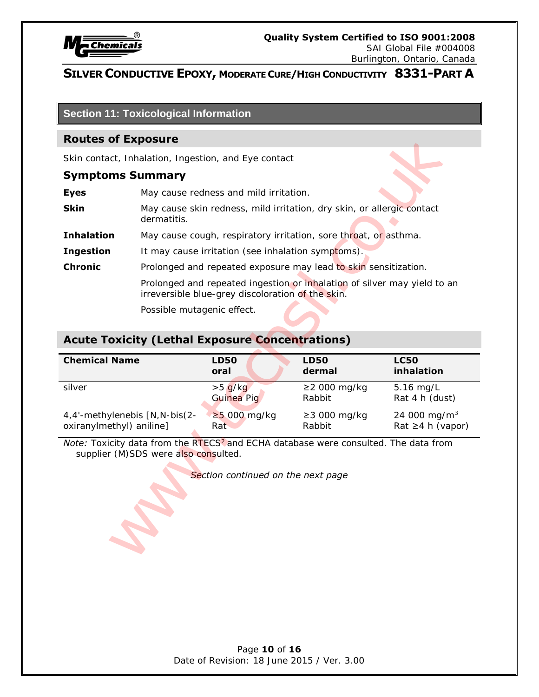

# **Section 11: Toxicological Information**

#### **Routes of Exposure**

#### **Symptoms Summary**

|                                                            | <b>Routes of Exposure</b>  |                                                        |                                                                          |                                            |
|------------------------------------------------------------|----------------------------|--------------------------------------------------------|--------------------------------------------------------------------------|--------------------------------------------|
|                                                            |                            | Skin contact, Inhalation, Ingestion, and Eye contact   |                                                                          |                                            |
| <b>Symptoms Summary</b>                                    |                            |                                                        |                                                                          |                                            |
| <b>Eyes</b><br>May cause redness and mild irritation.      |                            |                                                        |                                                                          |                                            |
| <b>Skin</b>                                                | dermatitis.                |                                                        | May cause skin redness, mild irritation, dry skin, or allergic contact   |                                            |
| <b>Inhalation</b>                                          |                            |                                                        | May cause cough, respiratory irritation, sore throat, or asthma.         |                                            |
| <b>Ingestion</b>                                           |                            | It may cause irritation (see inhalation symptoms).     |                                                                          |                                            |
| <b>Chronic</b>                                             |                            |                                                        | Prolonged and repeated exposure may lead to skin sensitization.          |                                            |
|                                                            |                            | irreversible blue-grey discoloration of the skin.      | Prolonged and repeated ingestion or inhalation of silver may yield to an |                                            |
|                                                            | Possible mutagenic effect. |                                                        |                                                                          |                                            |
|                                                            |                            | <b>Acute Toxicity (Lethal Exposure Concentrations)</b> |                                                                          |                                            |
|                                                            |                            |                                                        |                                                                          |                                            |
| <b>Chemical Name</b>                                       |                            | <b>LD50</b><br>oral                                    | <b>LD50</b><br>dermal                                                    | <b>LC50</b><br>inhalation                  |
| silver                                                     |                            | $>5$ g/kg<br>Guinea Pig                                | ≥2 000 mg/kg<br>Rabbit                                                   | 5.16 mg/L<br>Rat 4 h (dust)                |
| 4,4'-methylenebis [N, N-bis(2-<br>oxiranylmethyl) aniline] |                            | $\geq$ 5 000 mg/kg<br>Rat                              | $\geq$ 3 000 mg/kg<br>Rabbit                                             | 24 000 mg/m <sup>3</sup><br>Rat ≥4 h (vapo |

# **Acute Toxicity (Lethal Exposure Concentrations)**

| <b>Chemical Name</b>           | <b>LD50</b>        | <b>LD50</b>        | <b>LC50</b>              |
|--------------------------------|--------------------|--------------------|--------------------------|
|                                | oral               | dermal             | inhalation               |
| silver                         | $>5$ g/kg          | $\geq$ 2000 mg/kg  | $5.16$ mg/L              |
|                                | Guinea Pig         | Rabbit             | Rat 4 h (dust)           |
| 4,4'-methylenebis [N, N-bis(2- | $\geq$ 5 000 mg/kg | $\geq$ 3 000 mg/kg | 24 000 mg/m <sup>3</sup> |
| oxiranylmethyl) aniline]       | Rat                | Rabbit             | Rat $\geq 4$ h (vapor)   |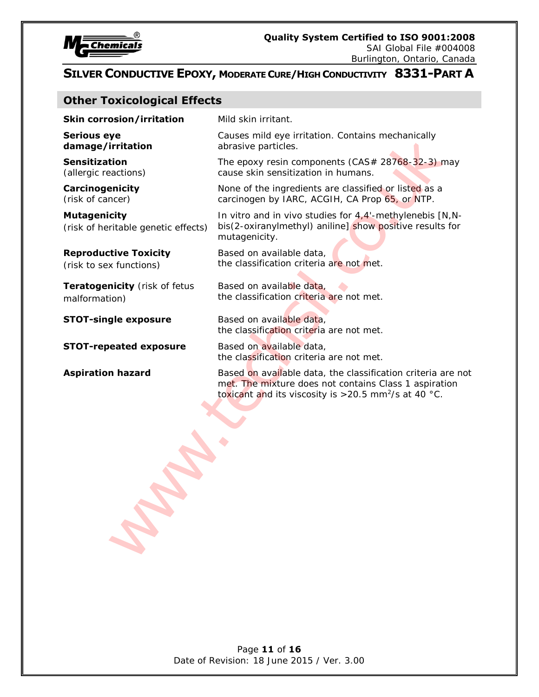

#### **Other Toxicological Effects**

|             | Skin corrosion/irritat |  |
|-------------|------------------------|--|
| Sarious ave |                        |  |

**Serious eye damage/irritation**

**Sensitization** (allergic reactions)

**Carcinogenicity** (risk of cancer)

**Mutagenicity**  (risk of heritable genetic effects)

#### **Reproductive Toxicity**

(risk to sex functions)

**Teratogenicity** (risk of fetus malformation)

**STOT-repeated exposure** Based on available data,

**Skin corrosion/irritation** Mild skin irritant.

Causes mild eye irritation. Contains mechanically abrasive particles.

The epoxy resin components (CAS# 28768-32-3) may cause skin sensitization in humans.

None of the ingredients are classified or listed as a carcinogen by IARC, ACGIH, CA Prop 65, or NTP.

In vitro and in vivo studies for 4,4'-methylenebis [N,Nbis(2-oxiranylmethyl) aniline] show positive results for mutagenicity. **year** middle elementation. Contains mechanically<br> **Erritation** clauses middle elementation. Contains mechanically<br>
distribution in turnings.<br>
and the energy resin components (CAS# 28768-32-3) m<br>
energy cases with semiliza

Based on available data, the classification criteria are not met.

Based on available data, the classification criteria are not met.

**STOT-single exposure** Based on available data, the classification criteria are not met.

the classification criteria are not met.

**Aspiration hazard Based on available data, the classification criteria are not** met. The mixture does not contains Class 1 aspiration toxicant and its viscosity is  $>$  20.5 mm<sup>2</sup>/s at 40 °C.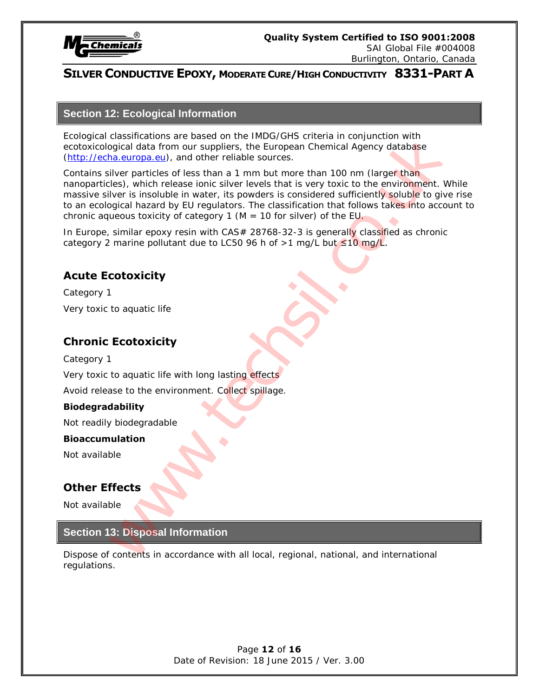

#### **Section 12: Ecological Information**

Ecological classifications are based on the IMDG/GHS criteria in conjunction with ecotoxicological data from our suppliers, the European Chemical Agency database (http://echa.europa.eu), and other reliable sources.

Contains silver particles of less than a 1 mm but more than 100 nm (larger than nanoparticles), which release ionic silver levels that is very toxic to the environment. While massive silver is insoluble in water, its powders is considered sufficiently soluble to give rise to an ecological hazard by EU regulators. The classification that follows takes into account to chronic aqueous toxicity of category 1 ( $M = 10$  for silver) of the EU. relations are based on the IMIGN-3 criteria in conjunction with<br>eigend data from our suppliers, the European Chemical Agency dialatiges<br>in europa en), and other reliable sources.<br>However similar terms are the most more tha

In Europe, similar epoxy resin with CAS# 28768-32-3 is generally classified as chronic category 2 marine pollutant due to LC50 96 h of >1 mg/L but  $\leq 10$  mg/L.

# **Acute Ecotoxicity**

Category 1 Very toxic to aquatic life

# **Chronic Ecotoxicity**

Category 1

Very toxic to aquatic life with long lasting effects

Avoid release to the environment. Collect spillage.

#### **Biodegradability**

Not readily biodegradable

#### **Bioaccumulation**

Not available

# **Other Effects**

Not available

#### **Section 13: Disposal Information**

Dispose of contents in accordance with all local, regional, national, and international regulations.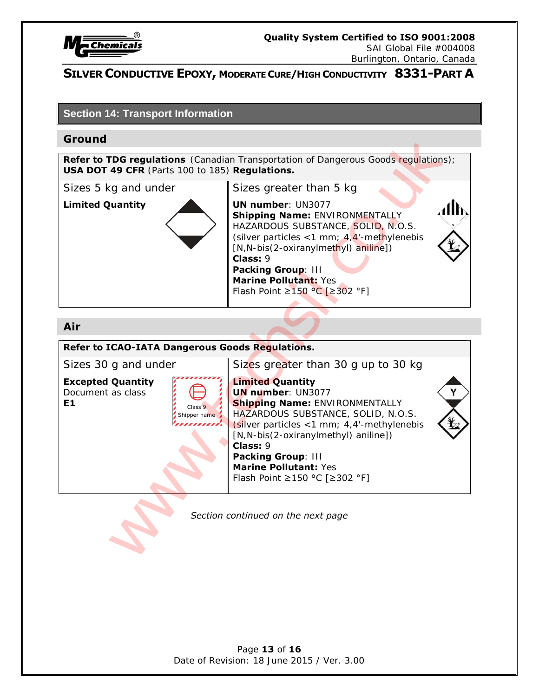

SAI Global File #004008 Burlington, Ontario, Canada

# **SILVER CONDUCTIVE EPOXY, MODERATE CURE/HIGH CONDUCTIVITY 8331-PART A**

#### **Section 14: Transport Information**

#### **Ground**

**Refer to TDG regulations** (Canadian Transportation of Dangerous Goods regulations); **USA DOT 49 CFR** (Parts 100 to 185) **Regulations.**



Sizes 5 kg and under Sizes greater than 5 kg **Limited Quantity 100 | UN number: UN3077 Shipping Name:** ENVIRONMENTALLY HAZARDOUS SUBSTANCE, SOLID, N.O.S. (silver particles  $<$  1 mm; 4,4'-methylenebis [N,N-bis(2-oxiranylmethyl) aniline]) **Class:** 9 **Packing Group**: III **Marine Pollutant:** Yes

Flash Point ≥150 °C [≥302 °F]

#### **Air**

**Refer to ICAO-IATA Dangerous Goods Regulations.** Sizes 30 g and under Sizes greater than 30 g up to 30 kg **Excepted Quantity Limited Quantity** Document as class **E1 UN number**: UN3077 **Shipping Name:** ENVIRONMENTALLY HAZARDOUS SUBSTANCE, SOLID, N.O.S.  $\sin$  (silver particles <1 mm; 4,4'-methylenebis [N,N-bis(2-oxiranylmethyl) aniline]) **Class:** 9 **Packing Group**: III **Marine Pollutant:** Yes Flash Point ≥150 °C [≥302 °F] Class 9 Shipper name **FIG regulations** (Canadian Transportation of Dangerous Goods regulations)<br> **49 CFR** (Parts 100 to 185) **Regulations.**<br>
Sizes greater than 5 kg<br>
vantity<br>
With number: UN3077<br> **Shipping Name:** ENVIROMMENTALLY<br>
(SINF partic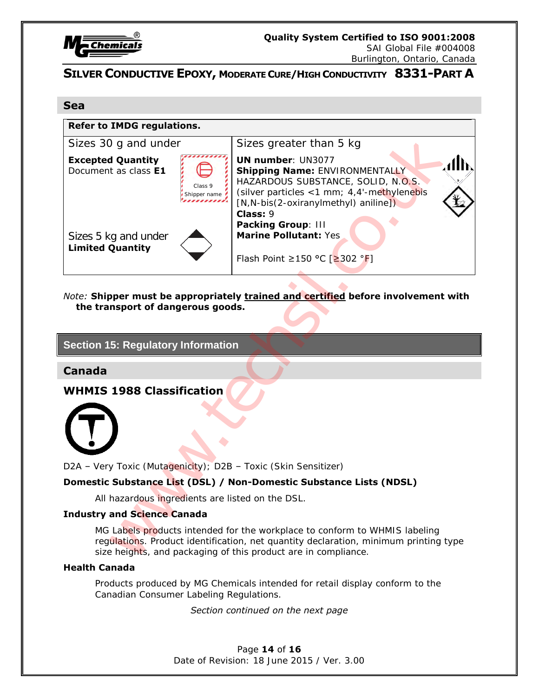

SAI Global File #004008 Burlington, Ontario, Canada

# **SILVER CONDUCTIVE EPOXY, MODERATE CURE/HIGH CONDUCTIVITY 8331-PART A**

#### **Sea**



*Note:* **Shipper must be appropriately trained and certified before involvement with the transport of dangerous goods.** 

### **Section 15: Regulatory Information**

**Canada**

**WHMIS 1988 Classification** 



D2A – Very Toxic (Mutagenicity); D2B – Toxic (Skin Sensitizer)

#### **Domestic Substance List (DSL) / Non-Domestic Substance Lists (NDSL)**

All hazardous ingredients are listed on the DSL.

#### **Industry and Science Canada**

MG Labels products intended for the workplace to conform to WHMIS labeling regulations. Product identification, net quantity declaration, minimum printing type size heights, and packaging of this product are in compliance.

#### **Health Canada**

Products produced by MG Chemicals intended for retail display conform to the Canadian Consumer Labeling Regulations.

#### *Section continued on the next page*

Page **14** of **16** Date of Revision: 18 June 2015 / Ver. 3.00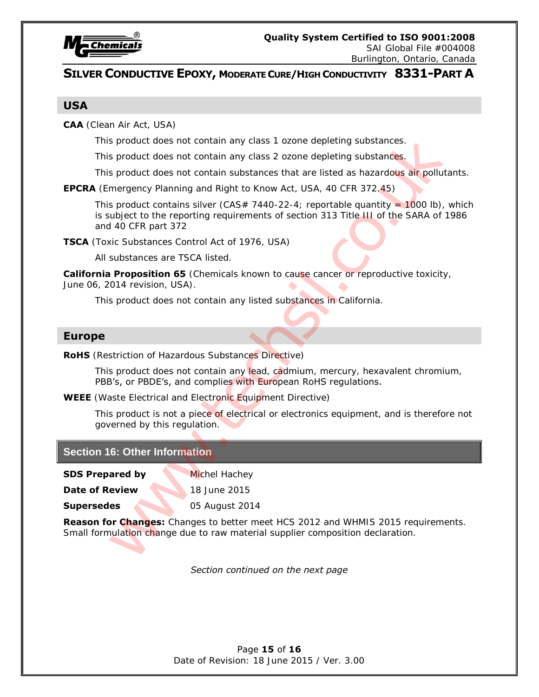

Burlington, Ontario, Canada

# **SILVER CONDUCTIVE EPOXY, MODERATE CURE/HIGH CONDUCTIVITY 8331-PART A**

#### **USA**

**CAA** (Clean Air Act, USA)

This product does not contain any class 1 ozone depleting substances.

This product does not contain any class 2 ozone depleting substances.

This product does not contain substances that are listed as hazardous air pollutants.

**EPCRA** (Emergency Planning and Right to Know Act, USA, 40 CFR 372.45)

This product contains silver (CAS# 7440-22-4; reportable quantity =  $1000$  lb), which is subject to the reporting requirements of section 313 Title III of the SARA of 1986 and 40 CFR part 372 s product does not contain any class 1 ozone depleting substances.<br>
s product does not contain any class 2 orone depleting substances.<br>
s product does not contain substances that are listed as hazardous at<br>
mergency Planni

**TSCA** (Toxic Substances Control Act of 1976, USA)

All substances are TSCA listed.

**California Proposition 65** (Chemicals known to cause cancer or reproductive toxicity, June 06, 2014 revision, USA).

This product does not contain any listed substances in California.

#### **Europe**

**RoHS** (Restriction of Hazardous Substances Directive)

This product does not contain any lead, cadmium, mercury, hexavalent chromium, PBB's, or PBDE's, and complies with European RoHS regulations.

**WEEE** (Waste Electrical and Electronic Equipment Directive)

This product is not a piece of electrical or electronics equipment, and is therefore not governed by this regulation.

#### **Section 16: Other Information**

**SDS Prepared by Michel Hachey** 

**Date of Review 18 June 2015** 

**Supersedes** 05 August 2014

**Reason for Changes:** Changes to better meet HCS 2012 and WHMIS 2015 requirements. Small formulation change due to raw material supplier composition declaration.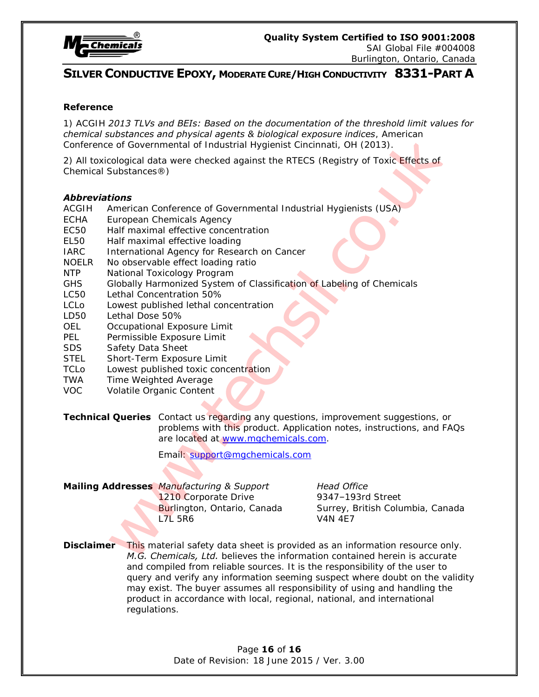

#### **Reference**

1) ACGIH *2013 TLVs and BEIs: Based on the documentation of the threshold limit values for chemical substances and physical agents & biological exposure indices*, American Conference of Governmental of Industrial Hygienist Cincinnati, OH (2013).

2) All toxicological data were checked against the RTECS (Registry of Toxic Effects of Chemical Substances®)

#### *Abbreviations*

- ACGIH American Conference of Governmental Industrial Hygienists (USA)
- ECHA European Chemicals Agency
- EC50 Half maximal effective concentration
- EL50 Half maximal effective loading
- IARC International Agency for Research on Cancer
- NOELR No observable effect loading ratio
- NTP National Toxicology Program
- GHS Globally Harmonized System of Classification of Labeling of Chemicals
- LC50 Lethal Concentration 50%
- LCLo Lowest published lethal concentration
- LD50 Lethal Dose 50%
- OEL Occupational Exposure Limit
- PEL Permissible Exposure Limit
- SDS Safety Data Sheet
- STEL Short-Term Exposure Limit
- TCLo Lowest published toxic concentration
- TWA Time Weighted Average
- VOC Volatile Organic Content
- **Technical Queries** Contact us regarding any questions, improvement suggestions, or problems with this product. Application notes, instructions, and FAQs are located at www.mgchemicals.com. **Experiments and physical agents & pological experient industrial intervals.** American<br>
co. of Governmential of industrial Ligensit Cincinnati, OH (2013).<br>
Cological data were checked against the RTECS (Registry of Toxic E

Email: support@mgchemicals.com

#### **Mailing Addresses** *Manufacturing & Support Head Office*

1210 Corporate Drive 9347-193rd Street L7L 5R6 V4N 4E7

Burlington, Ontario, Canada Surrey, British Columbia, Canada

**Disclaimer** This material safety data sheet is provided as an information resource only. *M.G. Chemicals, Ltd.* believes the information contained herein is accurate and compiled from reliable sources. It is the responsibility of the user to query and verify any information seeming suspect where doubt on the validity may exist. The buyer assumes all responsibility of using and handling the product in accordance with local, regional, national, and international regulations.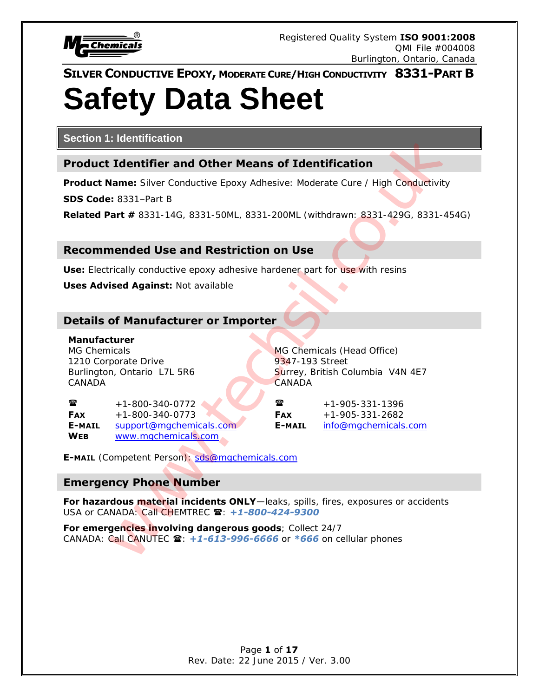

# **SILVER CONDUCTIVE EPOXY, MODERATE CURE/HIGH CONDUCTIVITY 8331-PART B Safety Data Sheet**

**Section 1: Identification**

# **Product Identifier and Other Means of Identification**

**Product Name:** Silver Conductive Epoxy Adhesive: Moderate Cure / High Conductivity

**SDS Code:** 8331–Part B

**Related Part #** 8331-14G, 8331-50ML, 8331-200ML (withdrawn: 8331-429G, 8331-454G)

# **Recommended Use and Restriction on Use**

**Use:** Electrically conductive epoxy adhesive hardener part for use with resins

**Uses Advised Against: Not available** 

# **Details of Manufacturer or Importer**

#### **Manufacturer**

MG Chemicals MG Chemicals (Head Office) 1210 Corporate Drive 1210 Street CANADA CANADA

Burlington, Ontario L7L 5R6 Surrey, British Columbia V4N 4E7

 $\bullet$  +1-800-340-0772  $\bullet$   $\bullet$   $\bullet$   $\bullet$  +1-905-331-1396 **FAX** +1-800-340-0773 **FAX** +1-905-331-2682 **E-MAIL** support@mgchemicals.com **E-MAIL** info@mgchemicals.com **WEB** www.mgchemicals.com

**E-MAIL** (Competent Person): sds@mgchemicals.com

# **Emergency Phone Number**

**For hazardous material incidents ONLY**—leaks, spills, fires, exposures or accidents USA or CANADA: Call CHEMTREC  $\mathbf{\hat{z}}$ : +1-800-424-9300 **Example 12**<br> **Example 20**<br> **Example 20**<br> **Example 20**<br> **Example 20**<br> **Example 20**<br> **Example 20**<br> **Example 20**<br> **Example 20**<br> **Example 20**<br> **Example 20**<br> **Example 20**<br> **Example 20**<br> **Example 20**<br> **Example 20**<br> **Example 20** 

**For emergencies involving dangerous goods**; Collect 24/7 CANADA: Call CANUTEC **雪: +1-613-996-6666** or \*666 on cellular phones

> Page **1** of **17** Rev. Date: 22 June 2015 / Ver. 3.00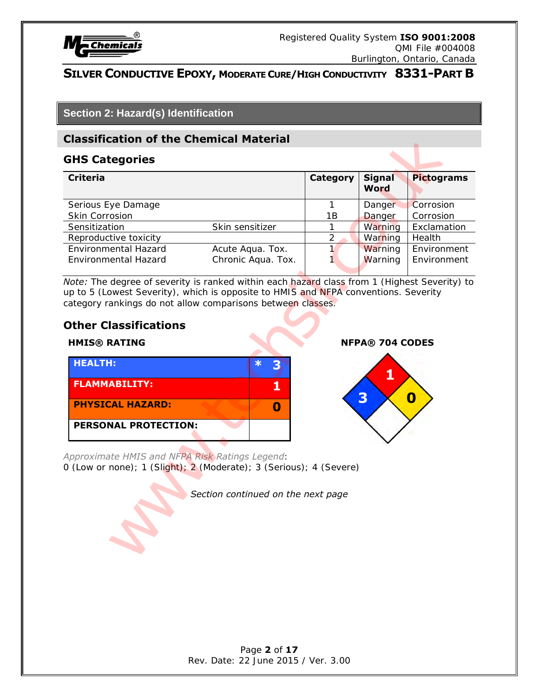

# **Section 2: Hazard(s) Identification**

# **Classification of the Chemical Material**

#### **GHS Categories**

| <b>Classification of the Chemical Material</b>                                                                                                                                                                                                                                                            |                                        |                    |                        |                            |
|-----------------------------------------------------------------------------------------------------------------------------------------------------------------------------------------------------------------------------------------------------------------------------------------------------------|----------------------------------------|--------------------|------------------------|----------------------------|
| <b>GHS Categories</b>                                                                                                                                                                                                                                                                                     |                                        |                    |                        |                            |
| <b>Criteria</b>                                                                                                                                                                                                                                                                                           |                                        | <b>Category</b>    | <b>Signal</b><br>Word  | <b>Pictograms</b>          |
| Serious Eye Damage<br>Skin Corrosion                                                                                                                                                                                                                                                                      |                                        | $\mathbf{1}$<br>1B | Danger<br>Danger       | Corrosion<br>Corrosion     |
| Sensitization                                                                                                                                                                                                                                                                                             | Skin sensitizer                        | 1                  | Warning                | Exclamation                |
| Reproductive toxicity                                                                                                                                                                                                                                                                                     |                                        | $\overline{2}$     | Warning                | Health                     |
| Environmental Hazard<br>Environmental Hazard                                                                                                                                                                                                                                                              | Acute Aqua. Tox.<br>Chronic Aqua. Tox. | 1                  | Warning<br>Warning     | Environment<br>Environment |
| Note: The degree of severity is ranked within each hazard class from 1 (Highest Severity) to<br>up to 5 (Lowest Severity), which is opposite to HMIS and NFPA conventions. Severity<br>category rankings do not allow comparisons between classes.<br><b>Other Classifications</b><br><b>HMIS® RATING</b> |                                        |                    | <b>NFPA® 704 CODES</b> |                            |
| <b>HEALTH:</b><br><b>FLAMMABILITY:</b><br><b>PHYSICAL HAZARD:</b><br><b>PERSONAL PROTECTION:</b>                                                                                                                                                                                                          | $\ast$<br>3<br>1<br>$\mathbf 0$        |                    | 1<br>3                 | $\boldsymbol{0}$           |
| Approximate HMIS and NFPA Risk Ratings Legend:<br>0 (Low or none); 1 (Slight); 2 (Moderate); 3 (Serious); 4 (Severe)                                                                                                                                                                                      | Section continued on the next page     |                    |                        |                            |

# **Other Classifications**

| <b>HEALTH:</b>          |  |  |
|-------------------------|--|--|
| <b>FLAMMABILITY:</b>    |  |  |
| <b>PHYSICAL HAZARD:</b> |  |  |
| l PERSONAL PROTECTION:  |  |  |

#### **HMIS® RATING NFPA® 704 CODES**

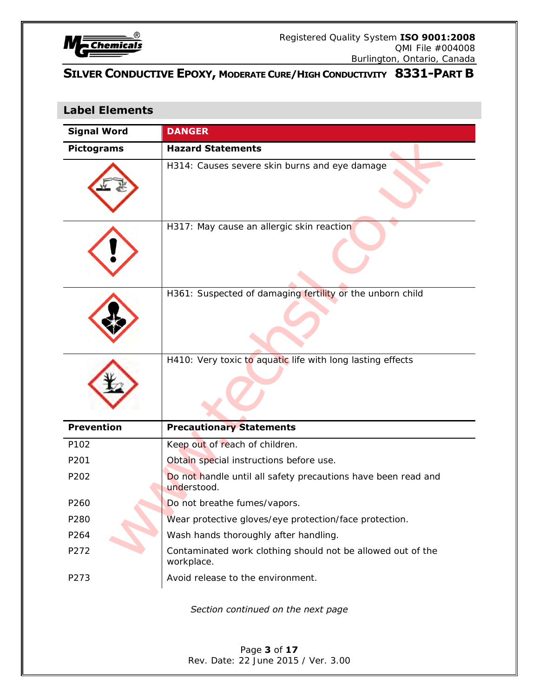

# **Label Elements**

| <b>Signal Word</b> | <b>DANGER</b>                                                                |
|--------------------|------------------------------------------------------------------------------|
| <b>Pictograms</b>  | <b>Hazard Statements</b>                                                     |
|                    | H314: Causes severe skin burns and eye damage                                |
|                    | H317: May cause an allergic skin reaction                                    |
|                    | H361: Suspected of damaging fertility or the unborn child                    |
|                    | H410: Very toxic to aquatic life with long lasting effects                   |
| <b>Prevention</b>  | <b>Precautionary Statements</b>                                              |
| P102               | Keep out of reach of children.                                               |
| P201               | Obtain special instructions before use.                                      |
| P202               | Do not handle until all safety precautions have been read and<br>understood. |
| P260               | Do not breathe fumes/vapors.                                                 |
| P280               | Wear protective gloves/eye protection/face protection.                       |
| P264               | Wash hands thoroughly after handling.                                        |
| P272               | Contaminated work clothing should not be allowed out of the<br>workplace.    |
| P273               | Avoid release to the environment.                                            |
|                    | Section continued on the next page                                           |
|                    | Page 3 of 17<br>Rev. Date: 22 June 2015 / Ver. 3.00                          |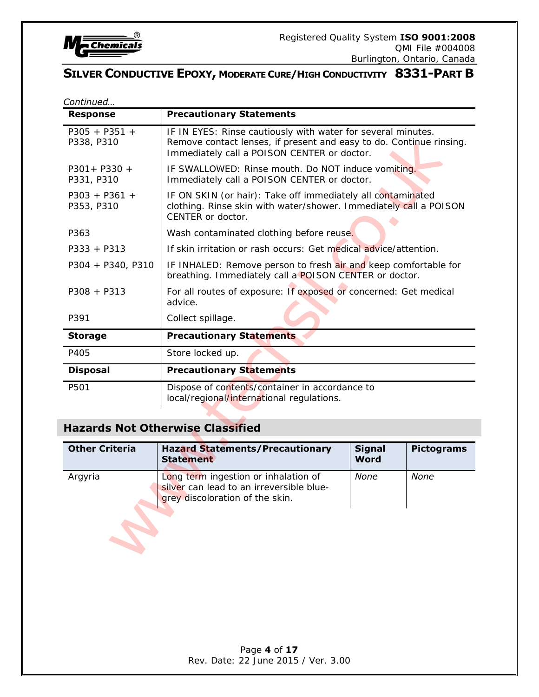

| Continued                     |                                                                                                                                                                                    |                              |                   |
|-------------------------------|------------------------------------------------------------------------------------------------------------------------------------------------------------------------------------|------------------------------|-------------------|
| <b>Response</b>               | <b>Precautionary Statements</b>                                                                                                                                                    |                              |                   |
| $P305 + P351 +$<br>P338, P310 | IF IN EYES: Rinse cautiously with water for several minutes.<br>Remove contact lenses, if present and easy to do. Continue rinsing.<br>Immediately call a POISON CENTER or doctor. |                              |                   |
| P301+ P330 +<br>P331, P310    | IF SWALLOWED: Rinse mouth. Do NOT induce vomiting.<br>Immediately call a POISON CENTER or doctor.                                                                                  |                              |                   |
| $P303 + P361 +$<br>P353, P310 | IF ON SKIN (or hair): Take off immediately all contaminated<br>clothing. Rinse skin with water/shower. Immediately call a POISON<br>CENTER or doctor.                              |                              |                   |
| P363                          | Wash contaminated clothing before reuse.                                                                                                                                           |                              |                   |
| $P333 + P313$                 | If skin irritation or rash occurs: Get medical advice/attention.                                                                                                                   |                              |                   |
| P304 + P340, P310             | IF INHALED: Remove person to fresh air and keep comfortable for<br>breathing. Immediately call a POISON CENTER or doctor.                                                          |                              |                   |
| $P308 + P313$                 | For all routes of exposure: If exposed or concerned: Get medical<br>advice.                                                                                                        |                              |                   |
| P391                          | Collect spillage.                                                                                                                                                                  |                              |                   |
| <b>Storage</b>                | <b>Precautionary Statements</b>                                                                                                                                                    |                              |                   |
| P405                          | Store locked up.                                                                                                                                                                   |                              |                   |
| <b>Disposal</b>               | <b>Precautionary Statements</b>                                                                                                                                                    |                              |                   |
| P501                          | Dispose of contents/container in accordance to<br>local/regional/international regulations.                                                                                        |                              |                   |
|                               | <b>Hazards Not Otherwise Classified</b>                                                                                                                                            |                              |                   |
| <b>Other Criteria</b>         | <b>Hazard Statements/Precautionary</b><br><b>Statement</b>                                                                                                                         | <b>Signal</b><br><b>Word</b> | <b>Pictograms</b> |
| Argyria                       | Long term ingestion or inhalation of<br>silver can lead to an irreversible blue-<br>grey discoloration of the skin.                                                                | None                         | None              |
|                               |                                                                                                                                                                                    |                              |                   |
|                               |                                                                                                                                                                                    |                              |                   |

# **Hazards Not Otherwise Classified**

| <b>Other Criteria</b> | <b>Hazard Statements/Precautionary</b><br><b>Statement</b>                                                          | <b>Signal</b><br>Word | <b>Pictograms</b> |
|-----------------------|---------------------------------------------------------------------------------------------------------------------|-----------------------|-------------------|
| Argyria               | Long term ingestion or inhalation of<br>silver can lead to an irreversible blue-<br>grey discoloration of the skin. | None                  | None              |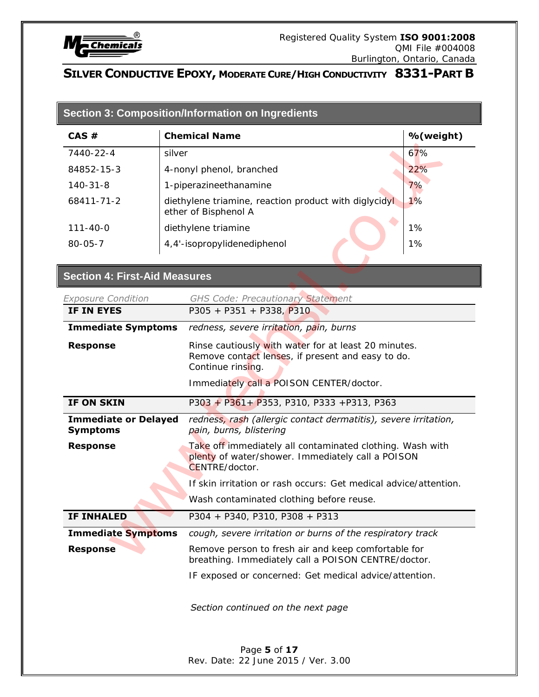

Г

 $\blacksquare$ 

# **SILVER CONDUCTIVE EPOXY, MODERATE CURE/HIGH CONDUCTIVITY 8331-PART B**

| CAS #                                          |  | <b>Chemical Name</b>                                                                                                             | %(weight) |  |
|------------------------------------------------|--|----------------------------------------------------------------------------------------------------------------------------------|-----------|--|
| 7440-22-4                                      |  | silver                                                                                                                           |           |  |
| 84852-15-3                                     |  | 22%<br>4-nonyl phenol, branched                                                                                                  |           |  |
| $140 - 31 - 8$                                 |  | 1-piperazineethanamine<br>7%                                                                                                     |           |  |
| 68411-71-2                                     |  | diethylene triamine, reaction product with diglycidyl<br>1%<br>ether of Bisphenol A                                              |           |  |
| $111 - 40 - 0$                                 |  | diethylene triamine                                                                                                              | 1%        |  |
| $80 - 05 - 7$                                  |  | 4,4'-isopropylidenediphenol                                                                                                      | 1%        |  |
| <b>Section 4: First-Aid Measures</b>           |  |                                                                                                                                  |           |  |
| <b>Exposure Condition</b>                      |  | <b>GHS Code: Precautionary Statement</b>                                                                                         |           |  |
| IF IN EYES                                     |  | $P305 + P351 + P338, P310$                                                                                                       |           |  |
| <b>Immediate Symptoms</b>                      |  | redness, severe irritation, pain, burns                                                                                          |           |  |
| <b>Response</b>                                |  | Rinse cautiously with water for at least 20 minutes.<br>Remove contact lenses, if present and easy to do.<br>Continue rinsing.   |           |  |
|                                                |  | Immediately call a POISON CENTER/doctor.                                                                                         |           |  |
| IF ON SKIN                                     |  | $P303 + P361 + P353$ , P310, P333 +P313, P363                                                                                    |           |  |
| <b>Immediate or Delayed</b><br><b>Symptoms</b> |  | redness, rash (allergic contact dermatitis), severe irritation,<br>pain, burns, blistering                                       |           |  |
| <b>Response</b>                                |  | Take off immediately all contaminated clothing. Wash with<br>plenty of water/shower. Immediately call a POISON<br>CENTRE/doctor. |           |  |
|                                                |  | If skin irritation or rash occurs: Get medical advice/attention.                                                                 |           |  |
|                                                |  | Wash contaminated clothing before reuse.                                                                                         |           |  |
| <b>IF INHALED</b>                              |  | P304 + P340, P310, P308 + P313                                                                                                   |           |  |
| <b>Immediate Symptoms</b>                      |  | cough, severe irritation or burns of the respiratory track                                                                       |           |  |
| <b>Response</b>                                |  | Remove person to fresh air and keep comfortable for<br>breathing. Immediately call a POISON CENTRE/doctor.                       |           |  |
|                                                |  | IF exposed or concerned: Get medical advice/attention.                                                                           |           |  |
|                                                |  |                                                                                                                                  |           |  |

Rev. Date: 22 June 2015 / Ver. 3.00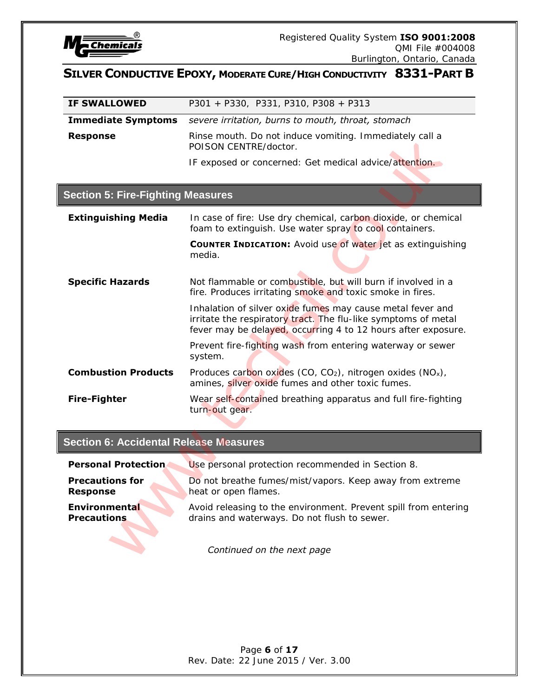

| <b>IF SWALLOWED</b>                           | P301 + P330, P331, P310, P308 + P313                                                                                                                                                          |
|-----------------------------------------------|-----------------------------------------------------------------------------------------------------------------------------------------------------------------------------------------------|
| <b>Immediate Symptoms</b>                     | severe irritation, burns to mouth, throat, stomach                                                                                                                                            |
| <b>Response</b>                               | Rinse mouth. Do not induce vomiting. Immediately call a<br>POISON CENTRE/doctor.                                                                                                              |
|                                               | IF exposed or concerned: Get medical advice/attention.                                                                                                                                        |
|                                               |                                                                                                                                                                                               |
| <b>Section 5: Fire-Fighting Measures</b>      |                                                                                                                                                                                               |
| <b>Extinguishing Media</b>                    | In case of fire: Use dry chemical, carbon dioxide, or chemical<br>foam to extinguish. Use water spray to cool containers.                                                                     |
|                                               | <b>COUNTER INDICATION:</b> Avoid use of water jet as extinguishing<br>media.                                                                                                                  |
| <b>Specific Hazards</b>                       | Not flammable or combustible, but will burn if involved in a<br>fire. Produces irritating smoke and toxic smoke in fires.                                                                     |
|                                               | Inhalation of silver oxide fumes may cause metal fever and<br>irritate the respiratory tract. The flu-like symptoms of metal<br>fever may be delayed, occurring 4 to 12 hours after exposure. |
|                                               | Prevent fire-fighting wash from entering waterway or sewer<br>system.                                                                                                                         |
| <b>Combustion Products</b>                    | Produces carbon oxides (CO, CO <sub>2</sub> ), nitrogen oxides (NO <sub>x</sub> ),<br>amines, silver oxide fumes and other toxic fumes.                                                       |
| <b>Fire-Fighter</b>                           | Wear self-contained breathing apparatus and full fire-fighting<br>turn-out gear.                                                                                                              |
| <b>Section 6: Accidental Release Measures</b> |                                                                                                                                                                                               |
|                                               |                                                                                                                                                                                               |
| <b>Personal Protection</b>                    | Use personal protection recommended in Section 8.                                                                                                                                             |
| <b>Precautions for</b><br><b>Response</b>     | Do not breathe fumes/mist/vapors. Keep away from extreme<br>heat or open flames.                                                                                                              |
| Environmental<br><b>Precautions</b>           | Avoid releasing to the environment. Prevent spill from entering<br>drains and waterways. Do not flush to sewer.                                                                               |
|                                               | Continued on the next page                                                                                                                                                                    |

# **Section 6: Accidental Release Measures**

| <b>Personal Protection</b> | Use personal protection recommended in Section 8.               |
|----------------------------|-----------------------------------------------------------------|
| <b>Precautions for</b>     | Do not breathe fumes/mist/vapors. Keep away from extreme        |
| <b>Response</b>            | heat or open flames.                                            |
| <b>Environmental</b>       | Avoid releasing to the environment. Prevent spill from entering |
| <b>Precautions</b>         | drains and waterways. Do not flush to sewer.                    |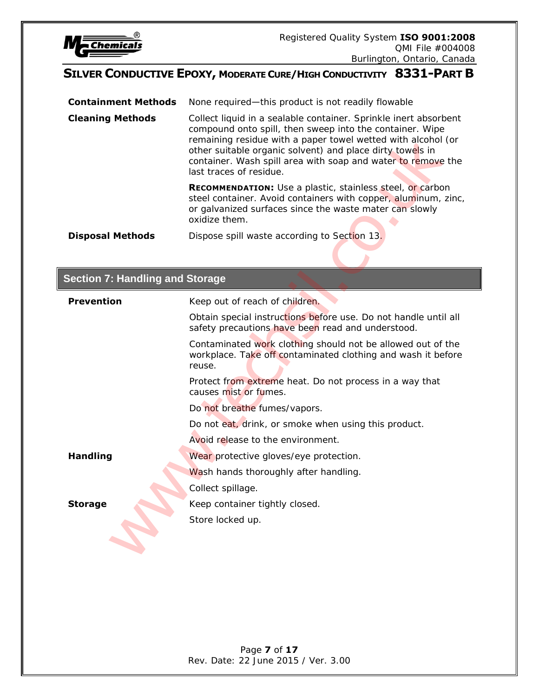

**Containment Methods** None required—this product is not readily flowable **Cleaning Methods** Collect liquid in a sealable container. Sprinkle inert absorbent compound onto spill, then sweep into the container. Wipe remaining residue with a paper towel wetted with alcohol (or other suitable organic solvent) and place dirty towels in container. Wash spill area with soap and water to remove the last traces of residue. **RECOMMENDATION:** Use a plastic, stainless steel, or carbon steel container. Avoid containers with copper, aluminum, zinc, or galvanized surfaces since the waste mater can slowly oxidize them. **Disposal Methods** Dispose spill waste according to Section 13.

#### **Section 7: Handling and Storage**

|                                        | remaining residue with a paper towel wetted with alcohol (or<br>other suitable organic solvent) and place dirty towels in<br>container. Wash spill area with soap and water to remove the<br>last traces of residue. |
|----------------------------------------|----------------------------------------------------------------------------------------------------------------------------------------------------------------------------------------------------------------------|
|                                        | <b>RECOMMENDATION:</b> Use a plastic, stainless steel, or carbon<br>steel container. Avoid containers with copper, aluminum, zinc,<br>or galvanized surfaces since the waste mater can slowly<br>oxidize them.       |
| <b>Disposal Methods</b>                | Dispose spill waste according to Section 13.                                                                                                                                                                         |
|                                        |                                                                                                                                                                                                                      |
| <b>Section 7: Handling and Storage</b> |                                                                                                                                                                                                                      |
| <b>Prevention</b>                      | Keep out of reach of children.                                                                                                                                                                                       |
|                                        | Obtain special instructions before use. Do not handle until all<br>safety precautions have been read and understood.                                                                                                 |
|                                        | Contaminated work clothing should not be allowed out of the<br>workplace. Take off contaminated clothing and wash it before<br>reuse.                                                                                |
|                                        | Protect from extreme heat. Do not process in a way that<br>causes mist or fumes.                                                                                                                                     |
|                                        | Do not breathe fumes/vapors.                                                                                                                                                                                         |
|                                        | Do not eat, drink, or smoke when using this product.                                                                                                                                                                 |
|                                        | Avoid release to the environment.                                                                                                                                                                                    |
| <b>Handling</b>                        | Wear protective gloves/eye protection.                                                                                                                                                                               |
|                                        | Wash hands thoroughly after handling.                                                                                                                                                                                |
|                                        | Collect spillage.                                                                                                                                                                                                    |
| <b>Storage</b>                         | Keep container tightly closed.                                                                                                                                                                                       |
|                                        | Store locked up.                                                                                                                                                                                                     |
|                                        |                                                                                                                                                                                                                      |
|                                        |                                                                                                                                                                                                                      |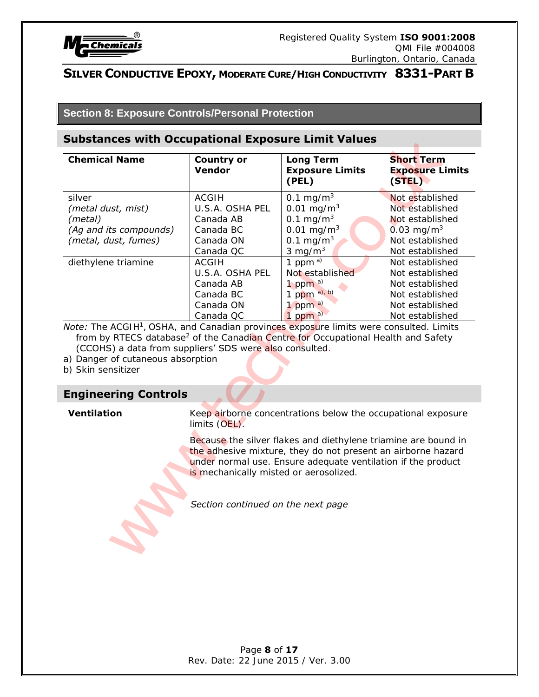

**Section 8: Exposure Controls/Personal Protection**

#### **Substances with Occupational Exposure Limit Values**

| <b>Chemical Name</b>                                                                                                                                                                                                                                                                                                                                     | <b>Country or</b><br><b>Vendor</b>                                                                                                                            | <b>Long Term</b><br><b>Exposure Limits</b><br>(PEL)                                                                                                                                                                                                            | <b>Short Term</b><br><b>Exposure Limits</b><br>(STEL)                                                                                                                                                                  |
|----------------------------------------------------------------------------------------------------------------------------------------------------------------------------------------------------------------------------------------------------------------------------------------------------------------------------------------------------------|---------------------------------------------------------------------------------------------------------------------------------------------------------------|----------------------------------------------------------------------------------------------------------------------------------------------------------------------------------------------------------------------------------------------------------------|------------------------------------------------------------------------------------------------------------------------------------------------------------------------------------------------------------------------|
| silver<br>(metal dust, mist)<br>(metal)<br>(Ag and its compounds)<br>(metal, dust, fumes)<br>diethylene triamine                                                                                                                                                                                                                                         | <b>ACGIH</b><br>U.S.A. OSHA PEL<br>Canada AB<br>Canada BC<br>Canada ON<br>Canada QC<br><b>ACGIH</b><br>U.S.A. OSHA PEL<br>Canada AB<br>Canada BC<br>Canada ON | 0.1 mg/m $3$<br>$0.01$ mg/m <sup>3</sup><br>0.1 mg/m <sup>3</sup><br>$0.01$ mg/m <sup>3</sup><br>0.1 mg/m $3$<br>3 mg/ $m3$<br>1 ppm $a$ )<br>Not established<br>1 ppm $a)$<br>1 ppm a), b)<br>1 ppm $a)$                                                      | Not established<br>Not established<br>Not established<br>$0.03$ mg/m <sup>3</sup><br>Not established<br>Not established<br>Not established<br>Not established<br>Not established<br>Not established<br>Not established |
| Note: The ACGIH <sup>1</sup> , OSHA, and Canadian provinces exposure limits were consulted. Limits<br>from by RTECS database <sup>2</sup> of the Canadian Centre for Occupational Health and Safety<br>(CCOHS) a data from suppliers' SDS were also consulted.<br>a) Danger of cutaneous absorption<br>b) Skin sensitizer<br><b>Engineering Controls</b> | Canada QC                                                                                                                                                     | 1 ppm $a)$                                                                                                                                                                                                                                                     | Not established                                                                                                                                                                                                        |
| <b>Ventilation</b>                                                                                                                                                                                                                                                                                                                                       | limits (OEL).<br>is mechanically misted or aerosolized.<br>Section continued on the next page                                                                 | Keep airborne concentrations below the occupational exposure<br>Because the silver flakes and diethylene triamine are bound in<br>the adhesive mixture, they do not present an airborne hazard<br>under normal use. Ensure adequate ventilation if the product |                                                                                                                                                                                                                        |

#### **Engineering Controls**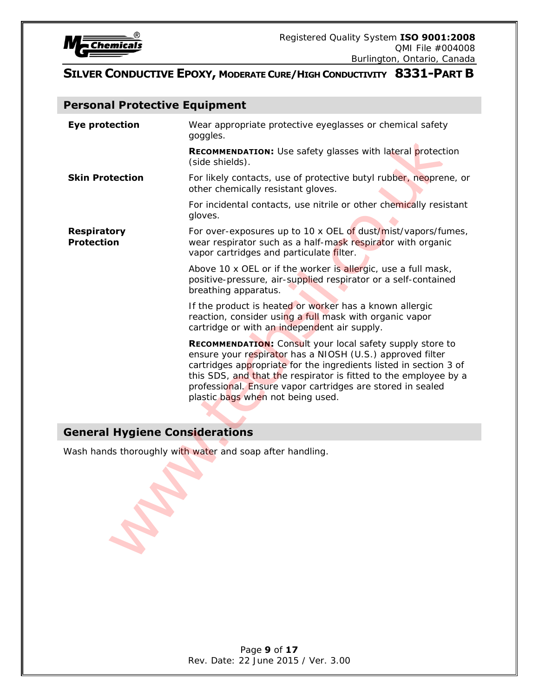

# **Personal Protective Equipment**

| <b>Eye protection</b>                   | Wear appropriate protective eyeglasses or chemical safety<br>goggles.                                                                                                                                                                                                                                                                                                     |
|-----------------------------------------|---------------------------------------------------------------------------------------------------------------------------------------------------------------------------------------------------------------------------------------------------------------------------------------------------------------------------------------------------------------------------|
|                                         | RECOMMENDATION: Use safety glasses with lateral protection<br>(side shields).                                                                                                                                                                                                                                                                                             |
| <b>Skin Protection</b>                  | For likely contacts, use of protective butyl rubber, neoprene, or<br>other chemically resistant gloves.                                                                                                                                                                                                                                                                   |
|                                         | For incidental contacts, use nitrile or other chemically resistant<br>gloves.                                                                                                                                                                                                                                                                                             |
| <b>Respiratory</b><br><b>Protection</b> | For over-exposures up to 10 x OEL of dust/mist/vapors/fumes,<br>wear respirator such as a half-mask respirator with organic<br>vapor cartridges and particulate filter.                                                                                                                                                                                                   |
|                                         | Above 10 x OEL or if the worker is allergic, use a full mask,<br>positive-pressure, air-supplied respirator or a self-contained<br>breathing apparatus.                                                                                                                                                                                                                   |
|                                         | If the product is heated or worker has a known allergic<br>reaction, consider using a full mask with organic vapor<br>cartridge or with an independent air supply.                                                                                                                                                                                                        |
|                                         | <b>RECOMMENDATION:</b> Consult your local safety supply store to<br>ensure your respirator has a NIOSH (U.S.) approved filter<br>cartridges appropriate for the ingredients listed in section 3 of<br>this SDS, and that the respirator is fitted to the employee by a<br>professional. Ensure vapor cartridges are stored in sealed<br>plastic bags when not being used. |
| <b>General Hygiene Considerations</b>   |                                                                                                                                                                                                                                                                                                                                                                           |
|                                         | Wash hands thoroughly with water and soap after handling.                                                                                                                                                                                                                                                                                                                 |
|                                         |                                                                                                                                                                                                                                                                                                                                                                           |

# **General Hygiene Considerations**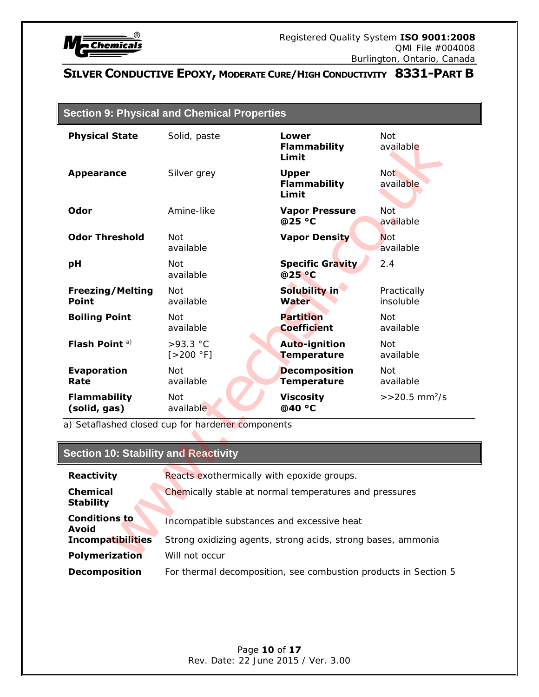

| <b>Section 9: Physical and Chemical Properties</b> |
|----------------------------------------------------|
|----------------------------------------------------|

| <b>Physical State</b>                       | Solid, paste                                                 | <b>Lower</b><br><b>Flammability</b><br>Limit | Not<br>available              |
|---------------------------------------------|--------------------------------------------------------------|----------------------------------------------|-------------------------------|
| <b>Appearance</b>                           | Silver grey                                                  | <b>Upper</b><br><b>Flammability</b><br>Limit | Not <sup>-</sup><br>available |
| Odor                                        | Amine-like                                                   | <b>Vapor Pressure</b><br>@25 °C              | Not <sup>1</sup><br>available |
| <b>Odor Threshold</b>                       | <b>Not</b><br>available                                      | <b>Vapor Density</b>                         | Not<br>available              |
| рH                                          | Not<br>available                                             | <b>Specific Gravity</b><br>@25 °C            | 2.4                           |
| <b>Freezing/Melting</b><br><b>Point</b>     | Not<br>available                                             | Solubility in<br>Water                       | Practically<br>insoluble      |
| <b>Boiling Point</b>                        | Not<br>available                                             | <b>Partition</b><br><b>Coefficient</b>       | <b>Not</b><br>available       |
| Flash Point <sup>a)</sup>                   | $>93.3$ °C<br>[>200 °F]                                      | Auto-ignition<br><b>Temperature</b>          | Not<br>available              |
| <b>Evaporation</b><br>Rate                  | <b>Not</b><br>available                                      | <b>Decomposition</b><br><b>Temperature</b>   | Not.<br>available             |
| <b>Flammability</b><br>(solid, gas)         | <b>Not</b><br>available                                      | <b>Viscosity</b><br>@40 °C                   | $>>20.5$ mm <sup>2</sup> /s   |
|                                             | a) Setaflashed closed cup for hardener components            |                                              |                               |
| <b>Section 10: Stability and Reactivity</b> |                                                              |                                              |                               |
| <b>Reactivity</b>                           | Reacts exothermically with epoxide groups.                   |                                              |                               |
| <b>Chemical</b><br><b>Stability</b>         | Chemically stable at normal temperatures and pressures       |                                              |                               |
| <b>Conditions to</b><br><b>Avoid</b>        | Incompatible substances and excessive heat                   |                                              |                               |
| <b>Incompatibilities</b>                    | Strong oxidizing agents, strong acids, strong bases, ammonia |                                              |                               |
| <b>Polymerization</b>                       | Will not occur                                               |                                              |                               |

# **Section 10: Stability and Reactivity**

| Reacts exothermically with epoxide groups.                      |  |  |
|-----------------------------------------------------------------|--|--|
| Chemically stable at normal temperatures and pressures          |  |  |
| Incompatible substances and excessive heat                      |  |  |
| Strong oxidizing agents, strong acids, strong bases, ammonia    |  |  |
| Will not occur                                                  |  |  |
| For thermal decomposition, see combustion products in Section 5 |  |  |
|                                                                 |  |  |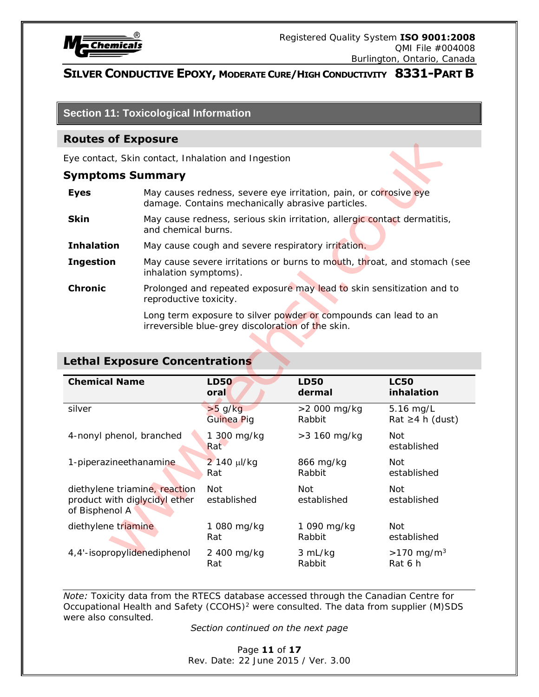

**Section 11: Toxicological Information**

#### **Routes of Exposure**

#### **Symptoms Summary**

| <b>Eyes</b>       | May causes redness, severe eye irritation, pain, or corrosive eye<br>damage. Contains mechanically abrasive particles. |
|-------------------|------------------------------------------------------------------------------------------------------------------------|
| Skin              | May cause redness, serious skin irritation, allergic contact dermatitis,<br>and chemical burns.                        |
| <b>Inhalation</b> | May cause cough and severe respiratory irritation.                                                                     |
| <b>Ingestion</b>  | May cause severe irritations or burns to mouth, throat, and stomach (see<br>inhalation symptoms).                      |
| <b>Chronic</b>    | Prolonged and repeated exposure may lead to skin sensitization and to<br>reproductive toxicity.                        |
|                   | Long term exposure to silver powder or compounds can lead to an                                                        |

# **Lethal Exposure Concentrations**

| <b>Routes of Exposure</b>                                                        |                                                                                                                        |                                                    |                                                                       |                                                                          |
|----------------------------------------------------------------------------------|------------------------------------------------------------------------------------------------------------------------|----------------------------------------------------|-----------------------------------------------------------------------|--------------------------------------------------------------------------|
| Eye contact, Skin contact, Inhalation and Ingestion                              |                                                                                                                        |                                                    |                                                                       |                                                                          |
| <b>Symptoms Summary</b>                                                          |                                                                                                                        |                                                    |                                                                       |                                                                          |
| <b>Eyes</b>                                                                      | May causes redness, severe eye irritation, pain, or corrosive eye<br>damage. Contains mechanically abrasive particles. |                                                    |                                                                       |                                                                          |
| <b>Skin</b>                                                                      | May cause redness, serious skin irritation, allergic contact dermatitis,<br>and chemical burns.                        |                                                    |                                                                       |                                                                          |
| <b>Inhalation</b>                                                                |                                                                                                                        | May cause cough and severe respiratory irritation. |                                                                       |                                                                          |
| <b>Ingestion</b>                                                                 | inhalation symptoms).                                                                                                  |                                                    |                                                                       | May cause severe irritations or burns to mouth, throat, and stomach (see |
| <b>Chronic</b>                                                                   | reproductive toxicity.                                                                                                 |                                                    | Prolonged and repeated exposure may lead to skin sensitization and to |                                                                          |
|                                                                                  |                                                                                                                        | irreversible blue-grey discoloration of the skin.  | Long term exposure to silver powder or compounds can lead to an       |                                                                          |
|                                                                                  |                                                                                                                        |                                                    |                                                                       |                                                                          |
| <b>Lethal Exposure Concentrations</b>                                            |                                                                                                                        |                                                    |                                                                       |                                                                          |
| <b>Chemical Name</b>                                                             |                                                                                                                        | <b>LD50</b><br>oral                                | <b>LD50</b><br>dermal                                                 | <b>LC50</b><br>inhalation                                                |
| silver                                                                           |                                                                                                                        | $>5$ g/kg<br>Guinea Pig                            | >2 000 mg/kg<br>Rabbit                                                | 5.16 mg/L<br>Rat ≥4 h (dust)                                             |
| 4-nonyl phenol, branched                                                         |                                                                                                                        | 1 300 mg/kg<br>Rat                                 | > 3 160 mg/kg                                                         | <b>Not</b><br>established                                                |
| 1-piperazineethanamine                                                           |                                                                                                                        | 2 140 µl/kg<br>Rat                                 | 866 mg/kg<br>Rabbit                                                   | Not<br>established                                                       |
| diethylene triamine, reaction<br>product with diglycidyl ether<br>of Bisphenol A |                                                                                                                        | Not.<br>established                                | Not<br>established                                                    | Not<br>established                                                       |
| diethylene triamine                                                              |                                                                                                                        | 1 080 mg/kg<br>Rat                                 | 1 090 mg/kg<br>Rabbit                                                 | Not<br>established                                                       |

*Note:* Toxicity data from the RTECS database accessed through the Canadian Centre for Occupational Health and Safety (CCOHS)<sup>2</sup> were consulted. The data from supplier (M)SDS were also consulted.

#### *Section continued on the next page*

Page **11** of **17** Rev. Date: 22 June 2015 / Ver. 3.00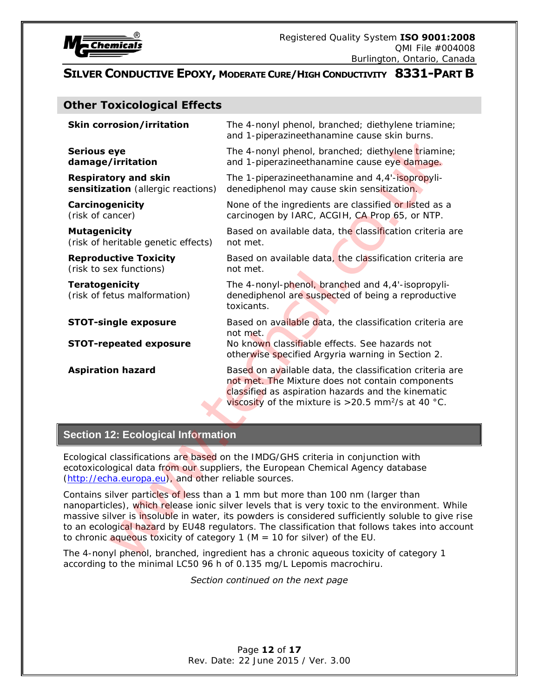

# **Other Toxicological Effects**

| <b>Skin corrosion/irritation</b>                                           | The 4-nonyl phenol, branched; diethylene triamine;<br>and 1-piperazineethanamine cause skin burns.                                                                                                                                                                                                                                                                                      |
|----------------------------------------------------------------------------|-----------------------------------------------------------------------------------------------------------------------------------------------------------------------------------------------------------------------------------------------------------------------------------------------------------------------------------------------------------------------------------------|
| <b>Serious eye</b><br>damage/irritation                                    | The 4-nonyl phenol, branched; diethylene triamine;<br>and 1-piperazineethanamine cause eye damage.                                                                                                                                                                                                                                                                                      |
| <b>Respiratory and skin</b><br>sensitization (allergic reactions)          | The 1-piperazineethanamine and 4,4'-isopropyli-<br>denediphenol may cause skin sensitization.                                                                                                                                                                                                                                                                                           |
| Carcinogenicity<br>(risk of cancer)                                        | None of the ingredients are classified or listed as a<br>carcinogen by IARC, ACGIH, CA Prop 65, or NTP.                                                                                                                                                                                                                                                                                 |
| <b>Mutagenicity</b><br>(risk of heritable genetic effects)                 | Based on available data, the classification criteria are<br>not met.                                                                                                                                                                                                                                                                                                                    |
| <b>Reproductive Toxicity</b><br>(risk to sex functions)                    | Based on available data, the classification criteria are<br>not met.                                                                                                                                                                                                                                                                                                                    |
| <b>Teratogenicity</b><br>(risk of fetus malformation)                      | The 4-nonyl-phenol, branched and 4,4'-isopropyli-<br>denediphenol are suspected of being a reproductive<br>toxicants.                                                                                                                                                                                                                                                                   |
| <b>STOT-single exposure</b><br><b>STOT-repeated exposure</b>               | Based on available data, the classification criteria are<br>not met.<br>No known classifiable effects. See hazards not<br>otherwise specified Argyria warning in Section 2.                                                                                                                                                                                                             |
| <b>Aspiration hazard</b>                                                   | Based on available data, the classification criteria are<br>not met. The Mixture does not contain components<br>classified as aspiration hazards and the kinematic<br>viscosity of the mixture is $>$ 20.5 mm <sup>2</sup> /s at 40 °C.                                                                                                                                                 |
| <b>Section 12: Ecological Information</b>                                  |                                                                                                                                                                                                                                                                                                                                                                                         |
| (http://echa.europa.eu), and other reliable sources.                       | Ecological classifications are based on the IMDG/GHS criteria in conjunction with<br>ecotoxicological data from our suppliers, the European Chemical Agency database                                                                                                                                                                                                                    |
| to chronic aqueous toxicity of category $1 (M = 10$ for silver) of the EU. | Contains silver particles of less than a 1 mm but more than 100 nm (larger than<br>nanoparticles), which release ionic silver levels that is very toxic to the environment. While<br>massive silver is insoluble in water, its powders is considered sufficiently soluble to give rise<br>to an ecological hazard by EU48 regulators. The classification that follows takes into accoun |
|                                                                            | The 4-nonyl phenol, branched, ingredient has a chronic aqueous toxicity of category 1<br>according to the minimal LC50 96 h of 0.135 mg/L Lepomis macrochiru.                                                                                                                                                                                                                           |

#### **Section 12: Ecological Information**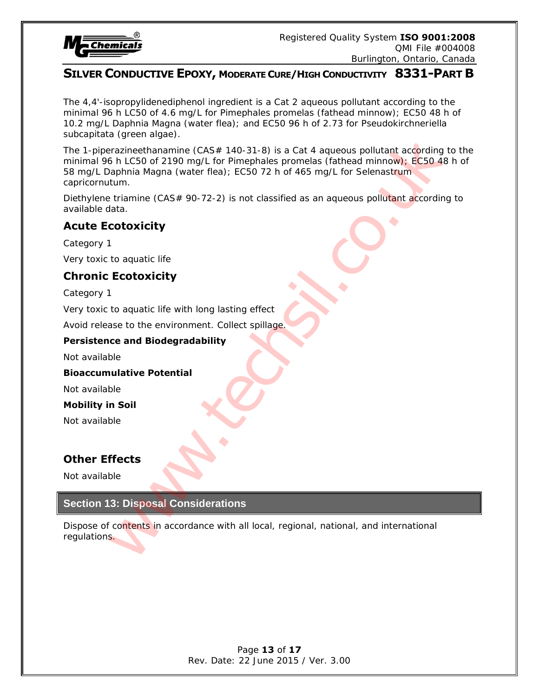

The 4,4'-isopropylidenediphenol ingredient is a Cat 2 aqueous pollutant according to the minimal 96 h LC50 of 4.6 mg/L for Pimephales promelas (fathead minnow); EC50 48 h of 10.2 mg/L Daphnia Magna (water flea); and EC50 96 h of 2.73 for Pseudokirchneriella subcapitata (green algae).

The 1-piperazineethanamine (CAS# 140-31-8) is a Cat 4 aqueous pollutant according to the minimal 96 h LC50 of 2190 mg/L for Pimephales promelas (fathead minnow); EC50 48 h of 58 mg/L Daphnia Magna (water flea); EC50 72 h of 465 mg/L for Selenastrum capricornutum. a (green algae)<br>
a (grazineethanamine (CAS# 140-31-8) is a Cat 4 agueous pollutant according<br>
Sh LCSo of 2190 mg/L (or Pimephales promelas (fathead minnow): ECSO 42<br>
apphala Magna (water flea): ECSO 72 h of 465 mg/L for Se

Diethylene triamine (CAS# 90-72-2) is not classified as an aqueous pollutant according to available data.

# **Acute Ecotoxicity**

Category 1 Very toxic to aquatic life

# **Chronic Ecotoxicity**

Category 1

Very toxic to aquatic life with long lasting effect

Avoid release to the environment. Collect spillage.

#### **Persistence and Biodegradability**

Not available

#### **Bioaccumulative Potential**

Not available

#### **Mobility in Soil**

Not available

# **Other Effects**

Not available

#### **Section 13: Disposal Considerations**

Dispose of contents in accordance with all local, regional, national, and international regulations.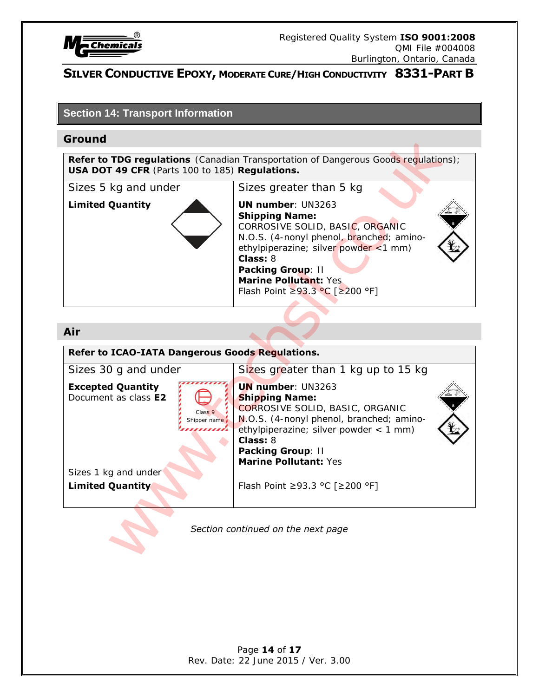

#### **Section 14: Transport Information**

#### **Ground**



#### **Air**

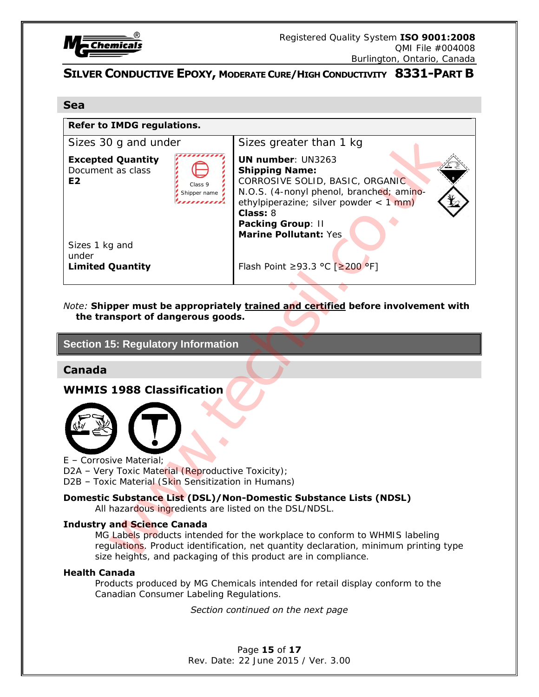

#### **Sea**

#### **Refer to IMDG regulations.**

| Sizes 30 g and under                                                                                                                                                                                                                 | Sizes greater than 1 kg                                                                                                                                                                                                                                                                                                 |
|--------------------------------------------------------------------------------------------------------------------------------------------------------------------------------------------------------------------------------------|-------------------------------------------------------------------------------------------------------------------------------------------------------------------------------------------------------------------------------------------------------------------------------------------------------------------------|
| <b>Excepted Quantity</b><br>Document as class<br>E <sub>2</sub><br>Sizes 1 kg and<br>under<br><b>Limited Quantity</b>                                                                                                                | <b>UN number: UN3263</b><br><b>Shipping Name:</b><br>CORROSIVE SOLID, BASIC, ORGANIC<br>Class <sub>9</sub><br>N.O.S. (4-nonyl phenol, branched; amino-<br>Shipper name<br>ethylpiperazine; silver powder < $1 \text{ mm}$ )<br>Class: 8<br>Packing Group: II<br>Marine Pollutant: Yes<br>Flash Point ≥93.3 °C [≥200 °F] |
|                                                                                                                                                                                                                                      |                                                                                                                                                                                                                                                                                                                         |
| Note: Shipper must be appropriately trained and certified before involvement with                                                                                                                                                    |                                                                                                                                                                                                                                                                                                                         |
| the transport of dangerous goods.                                                                                                                                                                                                    |                                                                                                                                                                                                                                                                                                                         |
| <b>Section 15: Regulatory Information</b>                                                                                                                                                                                            |                                                                                                                                                                                                                                                                                                                         |
| <b>Canada</b>                                                                                                                                                                                                                        |                                                                                                                                                                                                                                                                                                                         |
| <b>WHMIS 1988 Classification</b>                                                                                                                                                                                                     |                                                                                                                                                                                                                                                                                                                         |
|                                                                                                                                                                                                                                      |                                                                                                                                                                                                                                                                                                                         |
|                                                                                                                                                                                                                                      |                                                                                                                                                                                                                                                                                                                         |
|                                                                                                                                                                                                                                      |                                                                                                                                                                                                                                                                                                                         |
| E - Corrosive Material;                                                                                                                                                                                                              |                                                                                                                                                                                                                                                                                                                         |
| D2A - Very Toxic Material (Reproductive Toxicity);<br>D2B - Toxic Material (Skin Sensitization in Humans)                                                                                                                            |                                                                                                                                                                                                                                                                                                                         |
|                                                                                                                                                                                                                                      | Domestic Substance List (DSL)/Non-Domestic Substance Lists (NDSL)                                                                                                                                                                                                                                                       |
|                                                                                                                                                                                                                                      | All hazardous ingredients are listed on the DSL/NDSL.                                                                                                                                                                                                                                                                   |
| <b>Industry and Science Canada</b>                                                                                                                                                                                                   |                                                                                                                                                                                                                                                                                                                         |
| MG Labels products intended for the workplace to conform to WHMIS labeling<br>regulations. Product identification, net quantity declaration, minimum printing type<br>size heights, and packaging of this product are in compliance. |                                                                                                                                                                                                                                                                                                                         |

#### **Section 15: Regulatory Information**

#### **Canada**

#### **WHMIS 1988 Classification**



#### **Domestic Substance List (DSL)/Non-Domestic Substance Lists (NDSL)**

#### **Industry and Science Canada**

#### **Health Canada**

Products produced by MG Chemicals intended for retail display conform to the Canadian Consumer Labeling Regulations.

#### *Section continued on the next page*

Page **15** of **17** Rev. Date: 22 June 2015 / Ver. 3.00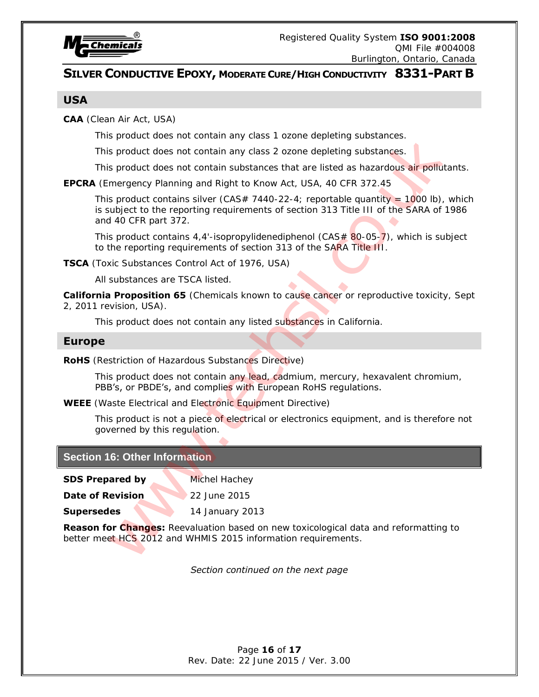

#### **USA**

**CAA** (Clean Air Act, USA)

This product does not contain any class 1 ozone depleting substances.

This product does not contain any class 2 ozone depleting substances.

This product does not contain substances that are listed as hazardous air pollutants.

**EPCRA** (Emergency Planning and Right to Know Act, USA, 40 CFR 372.45

This product contains silver (CAS# 7440-22-4; reportable quantity = 1000 lb), which is subject to the reporting requirements of section 313 Title III of the SARA of 1986 and 40 CFR part 372. This product does not contain any class 1 orane depleting substances.<br>
This product does not contain substances that are tepleting substances.<br>
In the product does not contains substances that are teleformations and<br> **EPC** 

This product contains 4,4'-isopropylidenediphenol (CAS $#$  80-05-7), which is subject to the reporting requirements of section 313 of the SARA Title III.

**TSCA** (Toxic Substances Control Act of 1976, USA)

All substances are TSCA listed.

**California Proposition 65** (Chemicals known to cause cancer or reproductive toxicity, Sept 2, 2011 revision, USA).

This product does not contain any listed substances in California.

#### **Europe**

**RoHS** (Restriction of Hazardous Substances Directive)

This product does not contain any lead, cadmium, mercury, hexavalent chromium, PBB's, or PBDE's, and complies with European RoHS regulations.

**WEEE** (Waste Electrical and Electronic Equipment Directive)

This product is not a piece of electrical or electronics equipment, and is therefore not governed by this regulation.

#### **Section 16: Other Information**

**SDS Prepared by Michel Hachey** 

**Date of Revision** 22 June 2015

**Supersedes 14 January 2013** 

**Reason for Changes:** Reevaluation based on new toxicological data and reformatting to

*Section continued on the next page* 

Page **16** of **17** Rev. Date: 22 June 2015 / Ver. 3.00